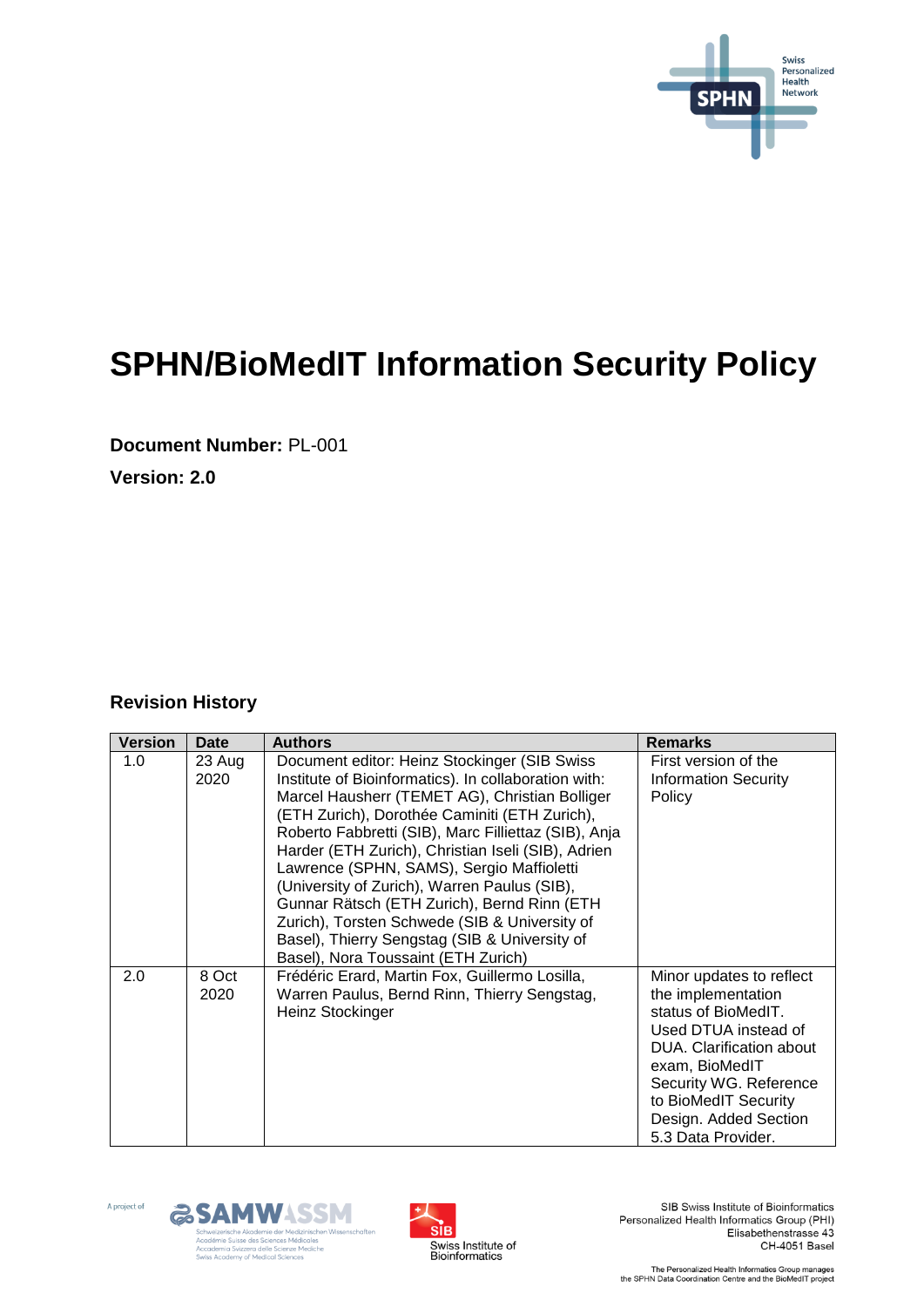

# **SPHN/BioMedIT Information Security Policy**

**Document Number:** PL-001

**Version: 2.0**

#### **Revision History**

| <b>Version</b> | <b>Date</b>    | <b>Authors</b>                                                                                                                                                                                                                                                                                                                                                                                                                                                                                                                                                                                             | <b>Remarks</b>                                                                                                                                                                                                                               |
|----------------|----------------|------------------------------------------------------------------------------------------------------------------------------------------------------------------------------------------------------------------------------------------------------------------------------------------------------------------------------------------------------------------------------------------------------------------------------------------------------------------------------------------------------------------------------------------------------------------------------------------------------------|----------------------------------------------------------------------------------------------------------------------------------------------------------------------------------------------------------------------------------------------|
| 1.0            | 23 Aug<br>2020 | Document editor: Heinz Stockinger (SIB Swiss<br>Institute of Bioinformatics). In collaboration with:<br>Marcel Hausherr (TEMET AG), Christian Bolliger<br>(ETH Zurich), Dorothée Caminiti (ETH Zurich),<br>Roberto Fabbretti (SIB), Marc Filliettaz (SIB), Anja<br>Harder (ETH Zurich), Christian Iseli (SIB), Adrien<br>Lawrence (SPHN, SAMS), Sergio Maffioletti<br>(University of Zurich), Warren Paulus (SIB),<br>Gunnar Rätsch (ETH Zurich), Bernd Rinn (ETH<br>Zurich), Torsten Schwede (SIB & University of<br>Basel), Thierry Sengstag (SIB & University of<br>Basel), Nora Toussaint (ETH Zurich) | First version of the<br><b>Information Security</b><br>Policy                                                                                                                                                                                |
| 2.0            | 8 Oct<br>2020  | Frédéric Erard, Martin Fox, Guillermo Losilla,<br>Warren Paulus, Bernd Rinn, Thierry Sengstag,<br>Heinz Stockinger                                                                                                                                                                                                                                                                                                                                                                                                                                                                                         | Minor updates to reflect<br>the implementation<br>status of BioMedIT.<br>Used DTUA instead of<br>DUA. Clarification about<br>exam, BioMedIT<br>Security WG. Reference<br>to BioMedIT Security<br>Design. Added Section<br>5.3 Data Provider. |







SIB Swiss Institute of Bioinformatics Personalized Health Informatics Group (PHI) Elisabethenstrasse 43 CH-4051 Basel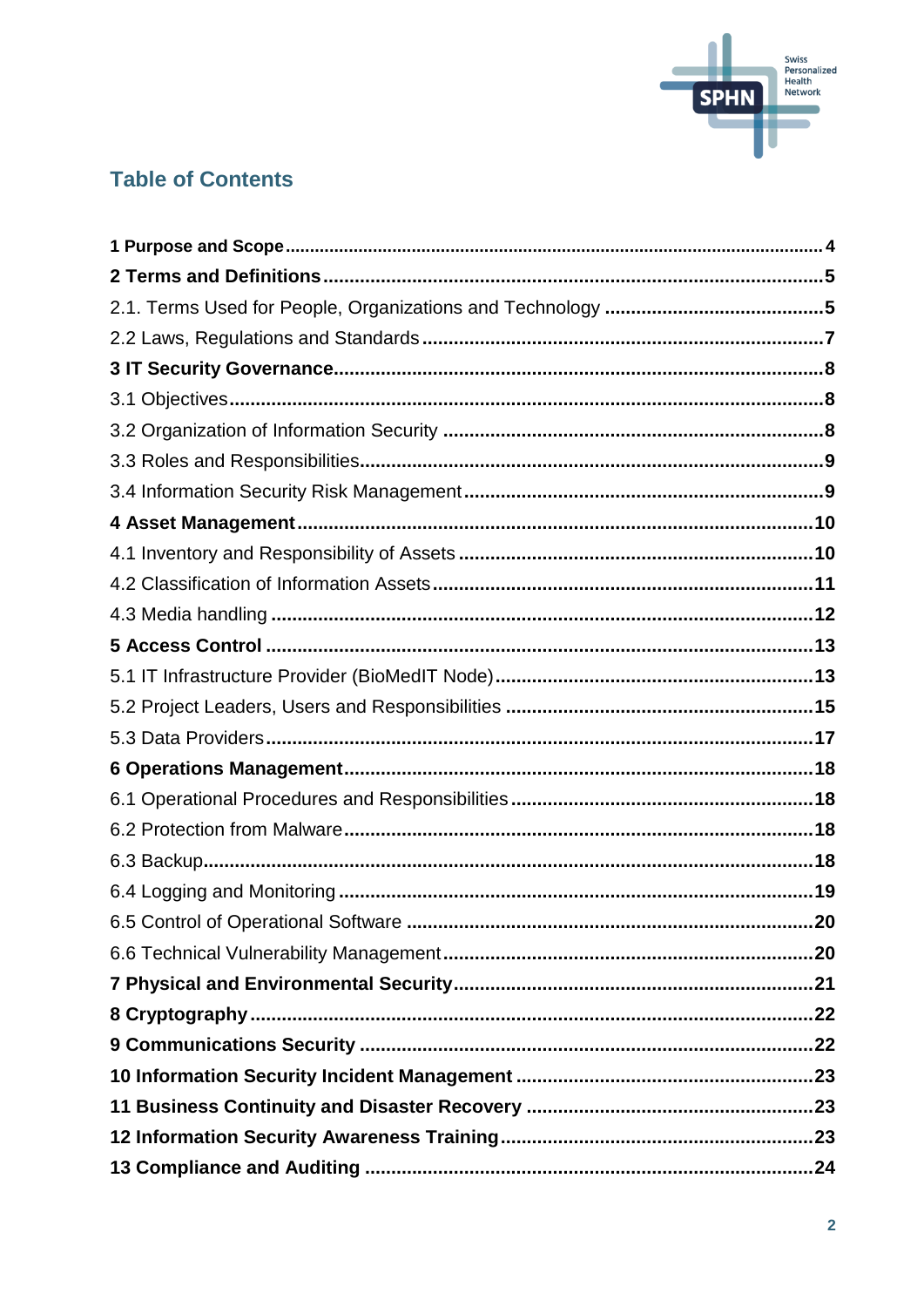

### **Table of Contents**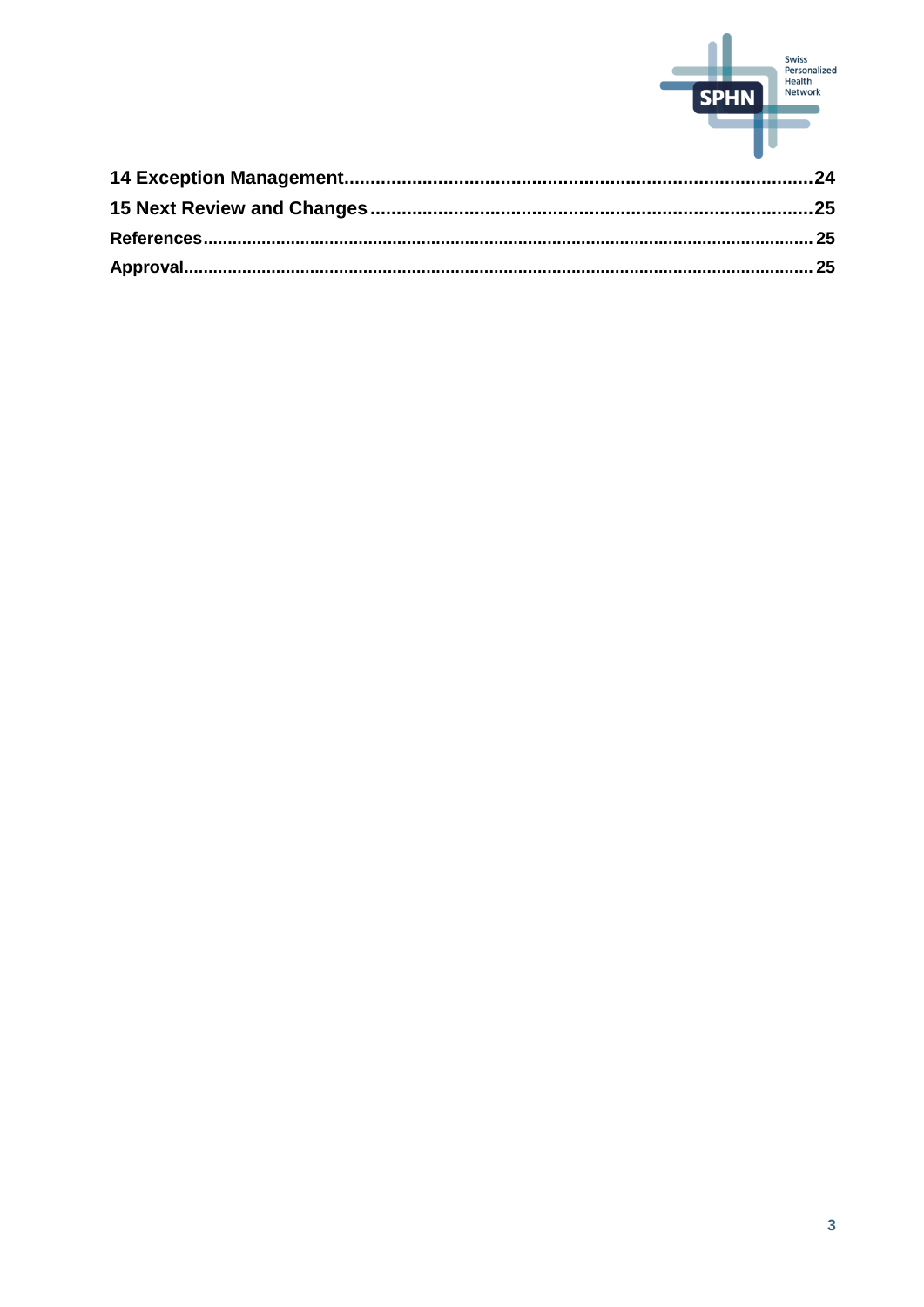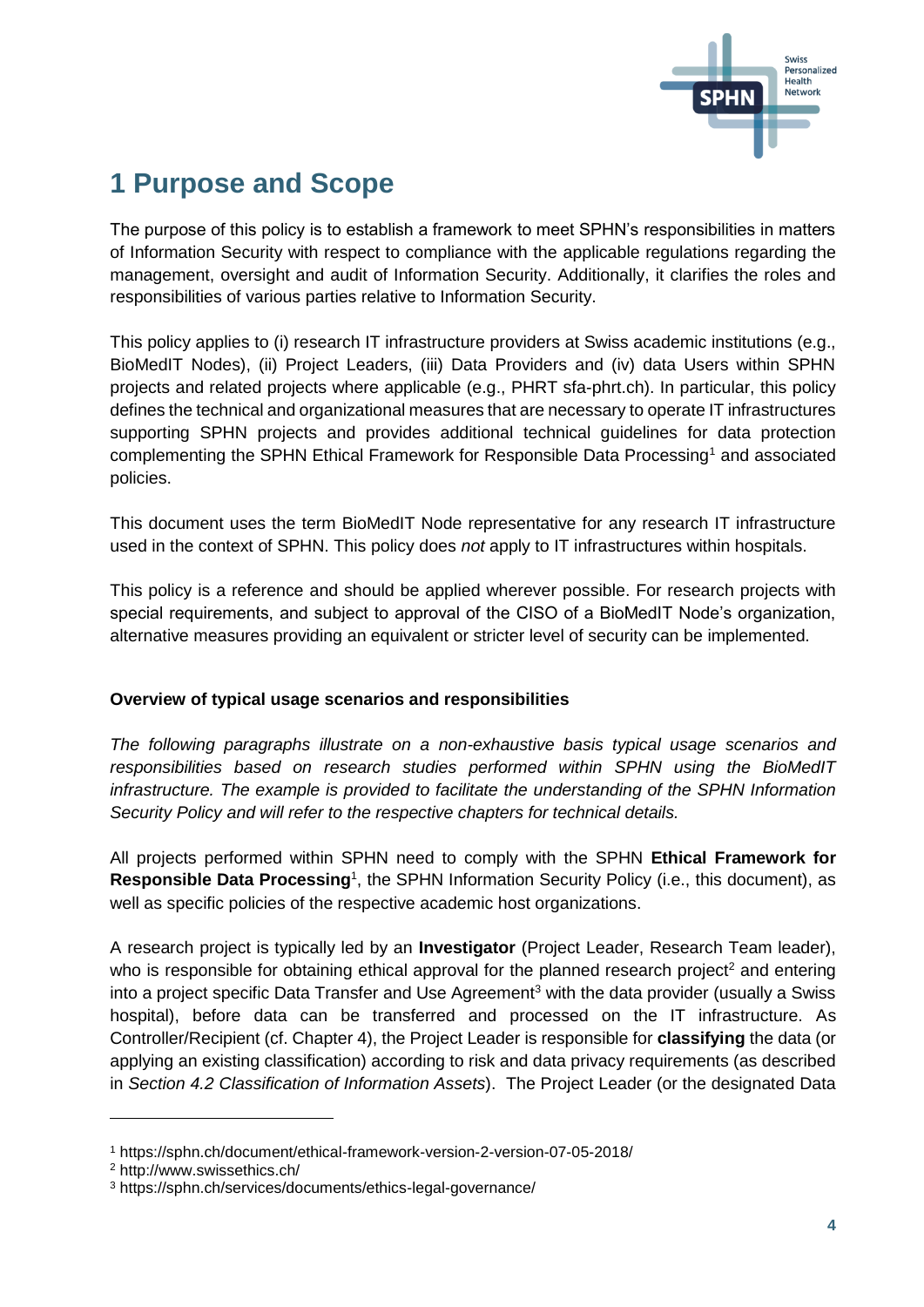

## <span id="page-3-0"></span>**1 Purpose and Scope**

The purpose of this policy is to establish a framework to meet SPHN's responsibilities in matters of Information Security with respect to compliance with the applicable regulations regarding the management, oversight and audit of Information Security. Additionally, it clarifies the roles and responsibilities of various parties relative to Information Security.

This policy applies to (i) research IT infrastructure providers at Swiss academic institutions (e.g., BioMedIT Nodes), (ii) Project Leaders, (iii) Data Providers and (iv) data Users within SPHN projects and related projects where applicable (e.g., PHRT sfa-phrt.ch). In particular, this policy defines the technical and organizational measures that are necessary to operate IT infrastructures supporting SPHN projects and provides additional technical guidelines for data protection complementing the SPHN Ethical Framework for Responsible Data Processing<sup>1</sup> and associated policies.

This document uses the term BioMedIT Node representative for any research IT infrastructure used in the context of SPHN. This policy does *not* apply to IT infrastructures within hospitals.

This policy is a reference and should be applied wherever possible. For research projects with special requirements, and subject to approval of the CISO of a BioMedIT Node's organization, alternative measures providing an equivalent or stricter level of security can be implemented.

#### **Overview of typical usage scenarios and responsibilities**

*The following paragraphs illustrate on a non-exhaustive basis typical usage scenarios and responsibilities based on research studies performed within SPHN using the BioMedIT infrastructure. The example is provided to facilitate the understanding of the SPHN Information Security Policy and will refer to the respective chapters for technical details.*

All projects performed within SPHN need to comply with the SPHN **Ethical Framework for**  Responsible Data Processing<sup>1</sup>, the SPHN Information Security Policy (i.e., this document), as well as specific policies of the respective academic host organizations.

A research project is typically led by an **Investigator** (Project Leader, Research Team leader), who is responsible for obtaining ethical approval for the planned research project<sup>2</sup> and entering into a project specific Data Transfer and Use Agreement<sup>3</sup> with the data provider (usually a Swiss hospital), before data can be transferred and processed on the IT infrastructure. As Controller/Recipient (cf. Chapter 4), the Project Leader is responsible for **classifying** the data (or applying an existing classification) according to risk and data privacy requirements (as described in *Section 4.2 Classification of Information Assets*). The Project Leader (or the designated Data

l

<sup>1</sup> https://sphn.ch/document/ethical-framework-version-2-version-07-05-2018/

<sup>2</sup> http://www.swissethics.ch/

<sup>3</sup> https://sphn.ch/services/documents/ethics-legal-governance/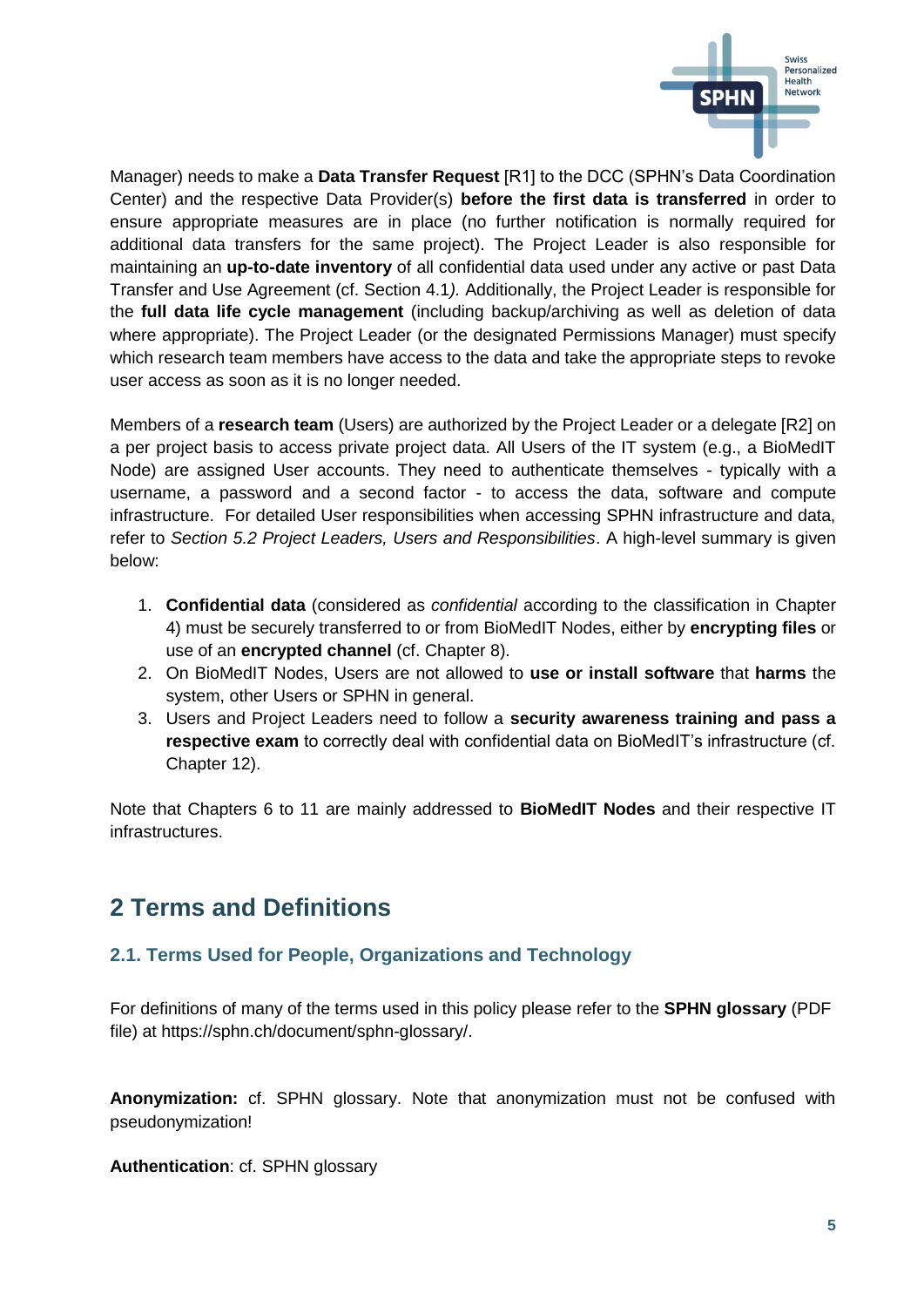

Manager) needs to make a **Data Transfer Request** [R1] to the DCC (SPHN's Data Coordination Center) and the respective Data Provider(s) **before the first data is transferred** in order to ensure appropriate measures are in place (no further notification is normally required for additional data transfers for the same project). The Project Leader is also responsible for maintaining an **up-to-date inventory** of all confidential data used under any active or past Data Transfer and Use Agreement (cf. Section 4.1*).* Additionally, the Project Leader is responsible for the **full data life cycle management** (including backup/archiving as well as deletion of data where appropriate). The Project Leader (or the designated Permissions Manager) must specify which research team members have access to the data and take the appropriate steps to revoke user access as soon as it is no longer needed.

Members of a **research team** (Users) are authorized by the Project Leader or a delegate [R2] on a per project basis to access private project data. All Users of the IT system (e.g., a BioMedIT Node) are assigned User accounts. They need to authenticate themselves - typically with a username, a password and a second factor - to access the data, software and compute infrastructure. For detailed User responsibilities when accessing SPHN infrastructure and data, refer to *Section 5.2 Project Leaders, Users and Responsibilities*. A high-level summary is given below:

- 1. **Confidential data** (considered as *confidential* according to the classification in Chapter 4) must be securely transferred to or from BioMedIT Nodes, either by **encrypting files** or use of an **encrypted channel** (cf. Chapter 8).
- 2. On BioMedIT Nodes, Users are not allowed to **use or install software** that **harms** the system, other Users or SPHN in general.
- 3. Users and Project Leaders need to follow a **security awareness training and pass a respective exam** to correctly deal with confidential data on BioMedIT's infrastructure (cf. Chapter 12).

Note that Chapters 6 to 11 are mainly addressed to **BioMedIT Nodes** and their respective IT infrastructures.

## <span id="page-4-0"></span>**2 Terms and Definitions**

#### <span id="page-4-1"></span>**2.1. Terms Used for People, Organizations and Technology**

For definitions of many of the terms used in this policy please refer to the **SPHN glossary** (PDF file) at https://sphn.ch/document/sphn-glossary/.

**Anonymization:** cf. SPHN glossary. Note that anonymization must not be confused with pseudonymization!

**Authentication**: cf. SPHN glossary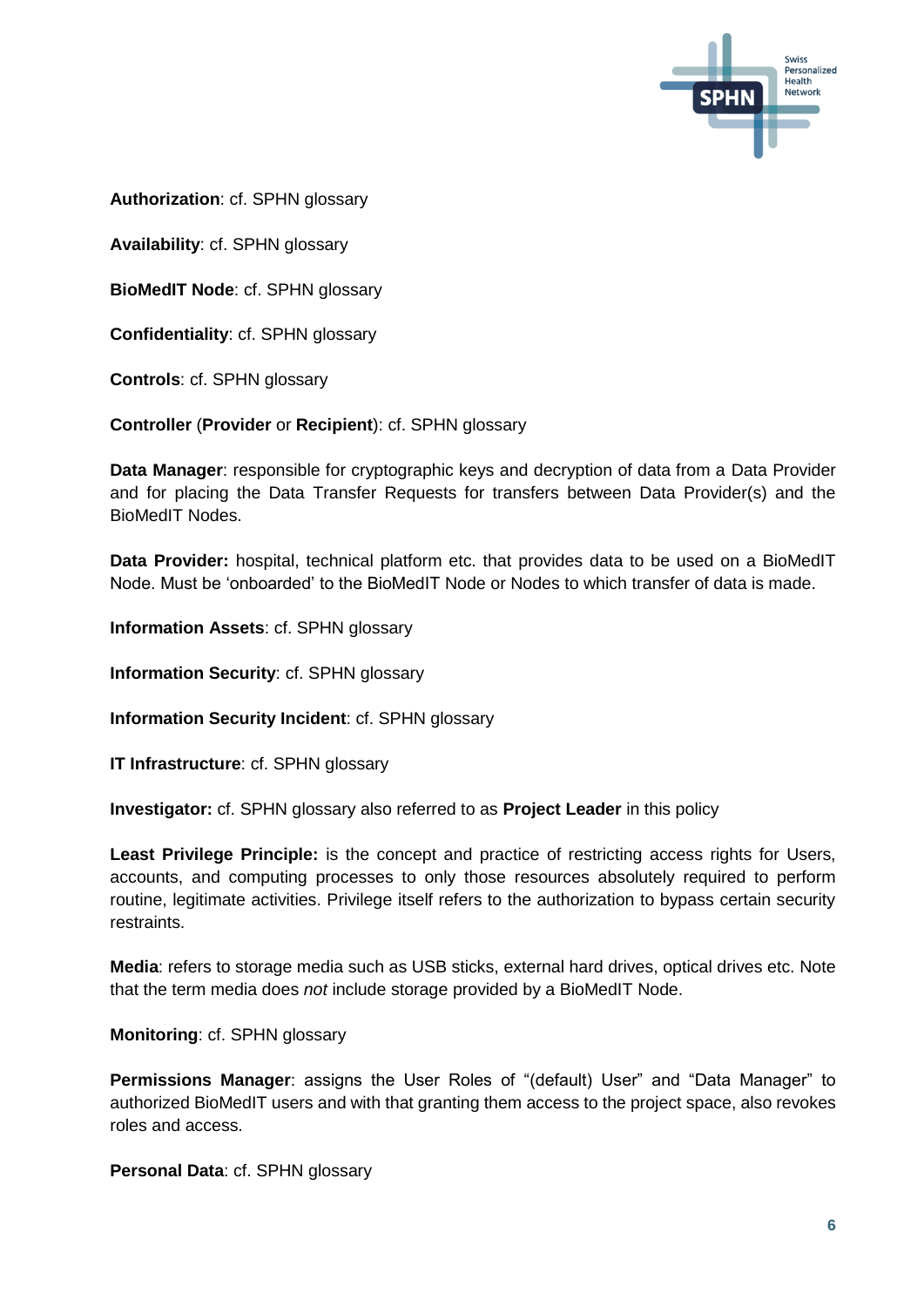

**Authorization**: cf. SPHN glossary

**Availability**: cf. SPHN glossary

**BioMedIT Node**: cf. SPHN glossary

**Confidentiality**: cf. SPHN glossary

**Controls**: cf. SPHN glossary

**Controller** (**Provider** or **Recipient**): cf. SPHN glossary

**Data Manager**: responsible for cryptographic keys and decryption of data from a Data Provider and for placing the Data Transfer Requests for transfers between Data Provider(s) and the BioMedIT Nodes.

Data Provider: hospital, technical platform etc. that provides data to be used on a BioMedIT Node. Must be 'onboarded' to the BioMedIT Node or Nodes to which transfer of data is made.

**Information Assets**: cf. SPHN glossary

**Information Security**: cf. SPHN glossary

**Information Security Incident**: cf. SPHN glossary

**IT Infrastructure**: cf. SPHN glossary

**Investigator:** cf. SPHN glossary also referred to as **Project Leader** in this policy

**Least Privilege Principle:** is the concept and practice of restricting access rights for Users, accounts, and computing processes to only those resources absolutely required to perform routine, legitimate activities. Privilege itself refers to the authorization to bypass certain security restraints.

**Media**: refers to storage media such as USB sticks, external hard drives, optical drives etc. Note that the term media does *not* include storage provided by a BioMedIT Node.

**Monitoring**: cf. SPHN glossary

**Permissions Manager**: assigns the User Roles of "(default) User" and "Data Manager" to authorized BioMedIT users and with that granting them access to the project space, also revokes roles and access.

**Personal Data**: cf. SPHN glossary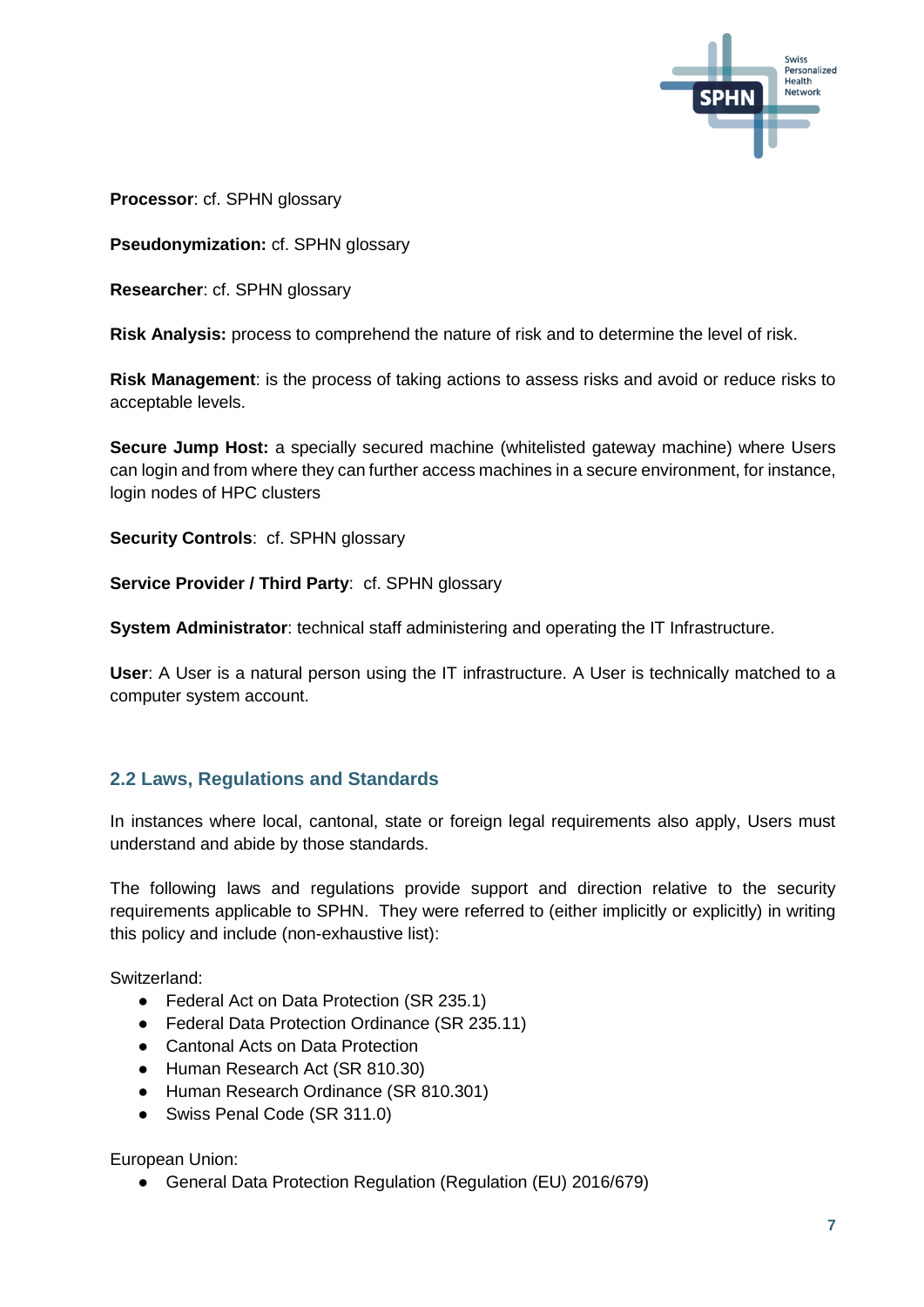

**Processor**: cf. SPHN glossary

**Pseudonymization:** cf. SPHN glossary

**Researcher**: cf. SPHN glossary

**Risk Analysis:** process to comprehend the nature of risk and to determine the level of risk.

**Risk Management**: is the process of taking actions to assess risks and avoid or reduce risks to acceptable levels.

**Secure Jump Host:** a specially secured machine (whitelisted gateway machine) where Users can login and from where they can further access machines in a secure environment, for instance, login nodes of HPC clusters

**Security Controls**: cf. SPHN glossary

**Service Provider / Third Party**: cf. SPHN glossary

**System Administrator**: technical staff administering and operating the IT Infrastructure.

**User**: A User is a natural person using the IT infrastructure. A User is technically matched to a computer system account.

#### <span id="page-6-0"></span>**2.2 Laws, Regulations and Standards**

In instances where local, cantonal, state or foreign legal requirements also apply, Users must understand and abide by those standards.

The following laws and regulations provide support and direction relative to the security requirements applicable to SPHN. They were referred to (either implicitly or explicitly) in writing this policy and include (non-exhaustive list):

Switzerland:

- Federal Act on Data Protection (SR 235.1)
- Federal Data Protection Ordinance (SR 235.11)
- Cantonal Acts on Data Protection
- Human Research Act (SR 810.30)
- Human Research Ordinance (SR 810.301)
- Swiss Penal Code (SR 311.0)

European Union:

● General Data Protection Regulation (Regulation (EU) 2016/679)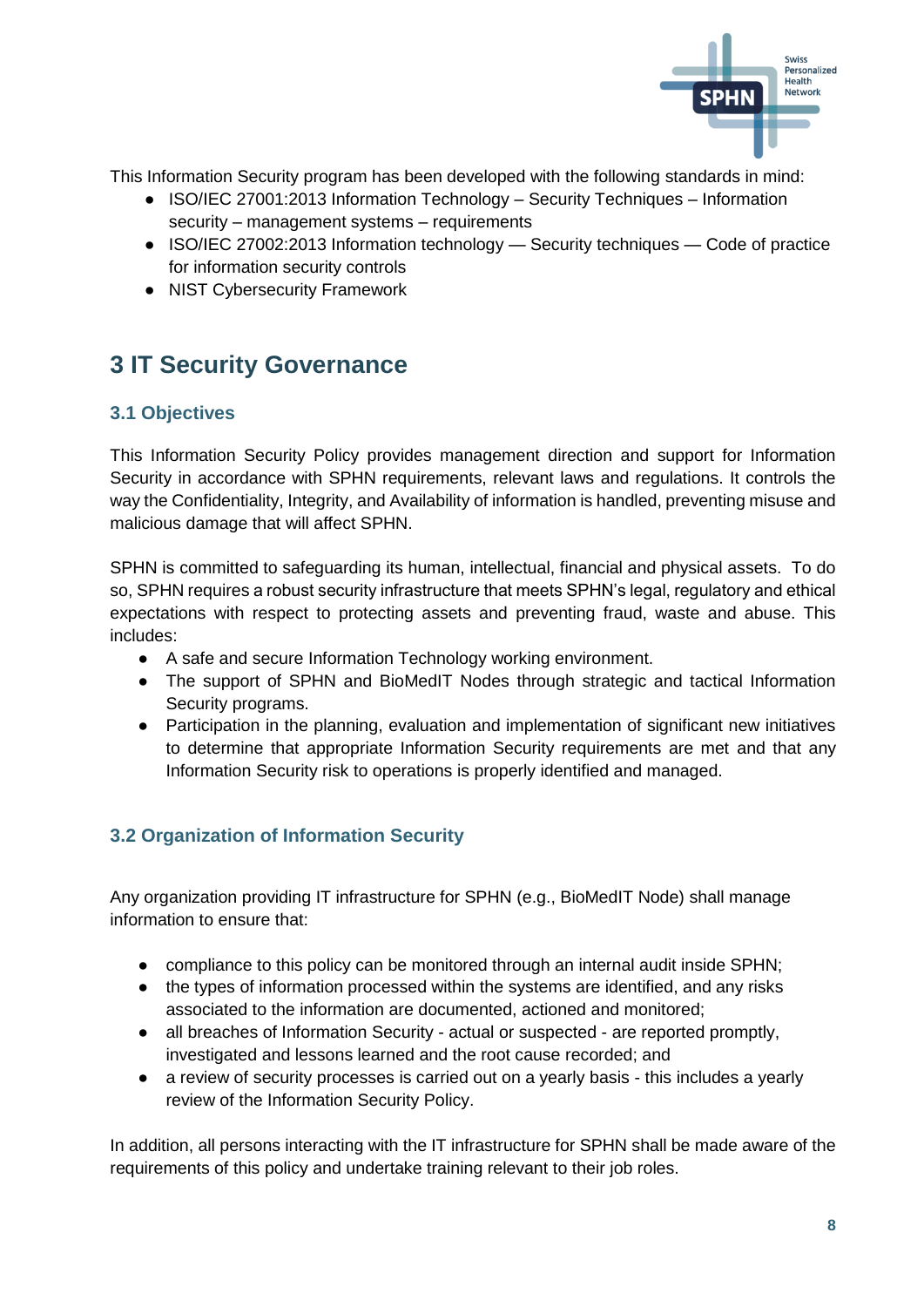

This Information Security program has been developed with the following standards in mind:

- ISO/IEC 27001:2013 Information Technology Security Techniques Information security – management systems – requirements
- ISO/IEC 27002:2013 Information technology Security techniques Code of practice for information security controls
- NIST Cybersecurity Framework

## <span id="page-7-0"></span>**3 IT Security Governance**

#### <span id="page-7-1"></span>**3.1 Objectives**

This Information Security Policy provides management direction and support for Information Security in accordance with SPHN requirements, relevant laws and regulations. It controls the way the Confidentiality, Integrity, and Availability of information is handled, preventing misuse and malicious damage that will affect SPHN.

SPHN is committed to safeguarding its human, intellectual, financial and physical assets. To do so, SPHN requires a robust security infrastructure that meets SPHN's legal, regulatory and ethical expectations with respect to protecting assets and preventing fraud, waste and abuse. This includes:

- A safe and secure Information Technology working environment.
- The support of SPHN and BioMedIT Nodes through strategic and tactical Information Security programs.
- Participation in the planning, evaluation and implementation of significant new initiatives to determine that appropriate Information Security requirements are met and that any Information Security risk to operations is properly identified and managed.

#### <span id="page-7-2"></span>**3.2 Organization of Information Security**

Any organization providing IT infrastructure for SPHN (e.g., BioMedIT Node) shall manage information to ensure that:

- compliance to this policy can be monitored through an internal audit inside SPHN;
- the types of information processed within the systems are identified, and any risks associated to the information are documented, actioned and monitored;
- all breaches of Information Security actual or suspected are reported promptly, investigated and lessons learned and the root cause recorded; and
- a review of security processes is carried out on a yearly basis this includes a yearly review of the Information Security Policy.

In addition, all persons interacting with the IT infrastructure for SPHN shall be made aware of the requirements of this policy and undertake training relevant to their job roles.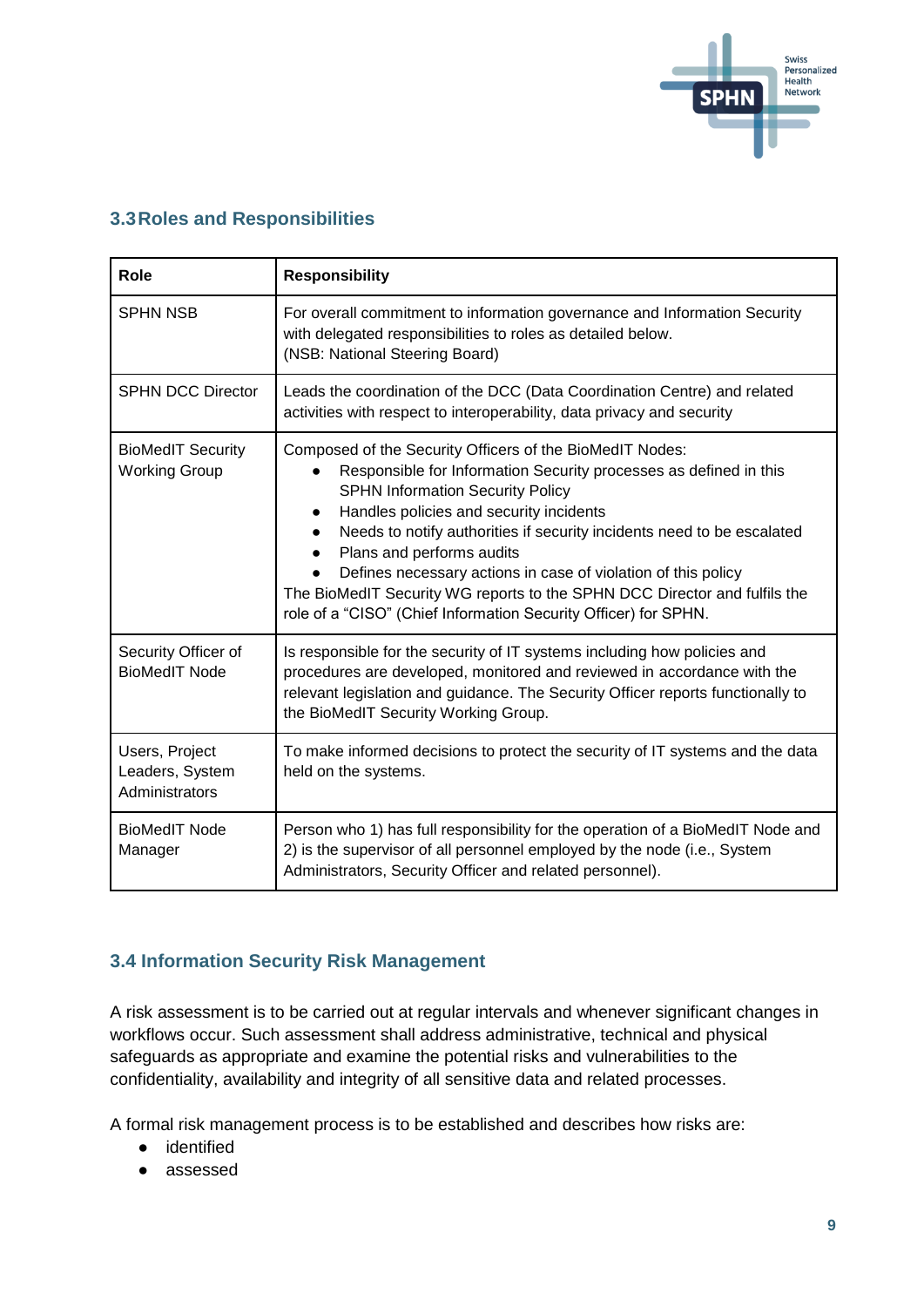

#### <span id="page-8-0"></span>**3.3Roles and Responsibilities**

| <b>Role</b>                                         | <b>Responsibility</b>                                                                                                                                                                                                                                                                                                                                                                                                                                                                                                                                    |
|-----------------------------------------------------|----------------------------------------------------------------------------------------------------------------------------------------------------------------------------------------------------------------------------------------------------------------------------------------------------------------------------------------------------------------------------------------------------------------------------------------------------------------------------------------------------------------------------------------------------------|
| <b>SPHN NSB</b>                                     | For overall commitment to information governance and Information Security<br>with delegated responsibilities to roles as detailed below.<br>(NSB: National Steering Board)                                                                                                                                                                                                                                                                                                                                                                               |
| <b>SPHN DCC Director</b>                            | Leads the coordination of the DCC (Data Coordination Centre) and related<br>activities with respect to interoperability, data privacy and security                                                                                                                                                                                                                                                                                                                                                                                                       |
| <b>BioMedIT Security</b><br><b>Working Group</b>    | Composed of the Security Officers of the BioMedIT Nodes:<br>Responsible for Information Security processes as defined in this<br><b>SPHN Information Security Policy</b><br>Handles policies and security incidents<br>Needs to notify authorities if security incidents need to be escalated<br>$\bullet$<br>Plans and performs audits<br>Defines necessary actions in case of violation of this policy<br>The BioMedIT Security WG reports to the SPHN DCC Director and fulfils the<br>role of a "CISO" (Chief Information Security Officer) for SPHN. |
| Security Officer of<br><b>BioMedIT Node</b>         | Is responsible for the security of IT systems including how policies and<br>procedures are developed, monitored and reviewed in accordance with the<br>relevant legislation and guidance. The Security Officer reports functionally to<br>the BioMedIT Security Working Group.                                                                                                                                                                                                                                                                           |
| Users, Project<br>Leaders, System<br>Administrators | To make informed decisions to protect the security of IT systems and the data<br>held on the systems.                                                                                                                                                                                                                                                                                                                                                                                                                                                    |
| <b>BioMedIT Node</b><br>Manager                     | Person who 1) has full responsibility for the operation of a BioMedIT Node and<br>2) is the supervisor of all personnel employed by the node (i.e., System<br>Administrators, Security Officer and related personnel).                                                                                                                                                                                                                                                                                                                                   |

#### <span id="page-8-1"></span>**3.4 Information Security Risk Management**

A risk assessment is to be carried out at regular intervals and whenever significant changes in workflows occur. Such assessment shall address administrative, technical and physical safeguards as appropriate and examine the potential risks and vulnerabilities to the confidentiality, availability and integrity of all sensitive data and related processes.

A formal risk management process is to be established and describes how risks are:

- identified
- assessed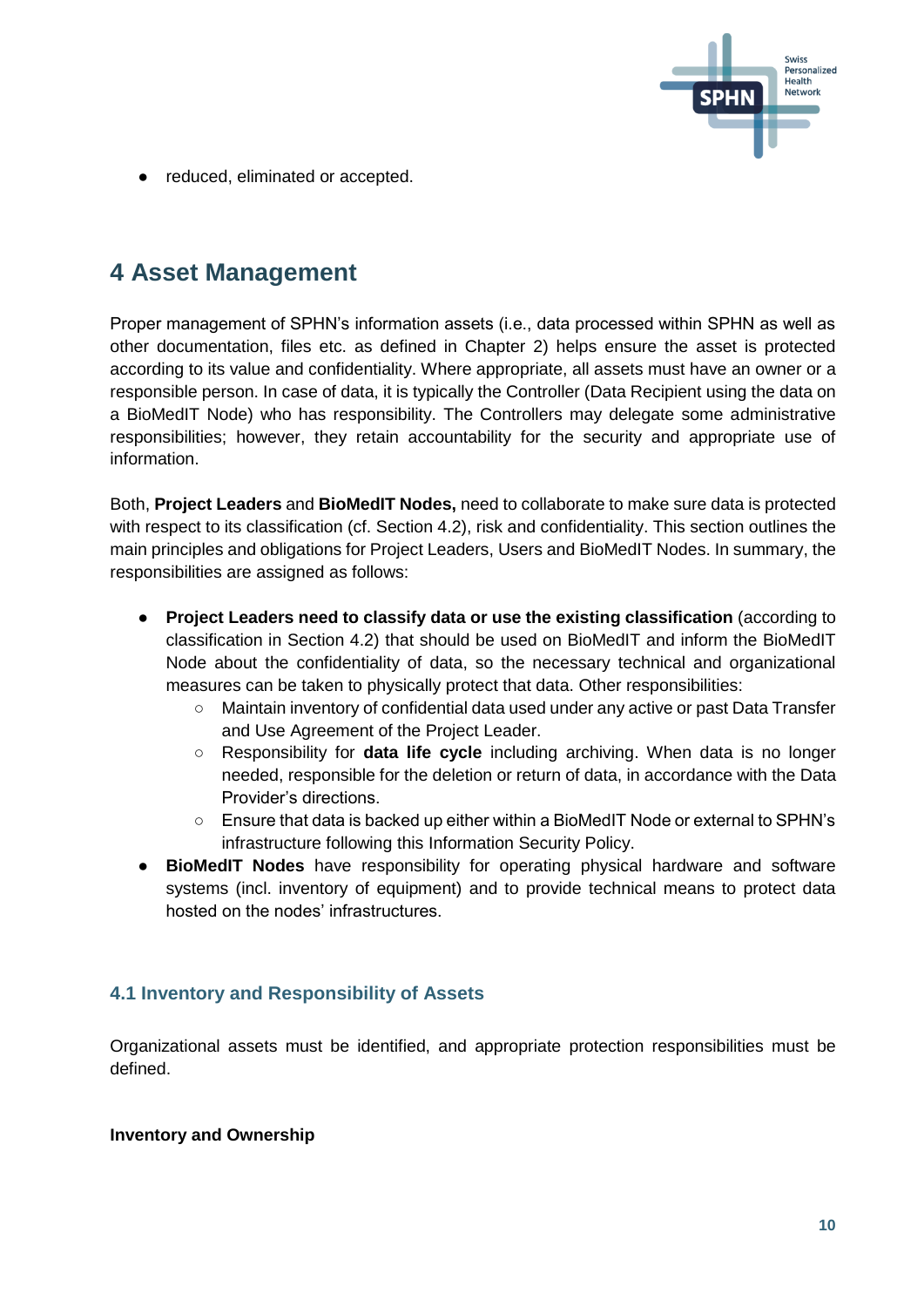

● reduced, eliminated or accepted.

## <span id="page-9-0"></span>**4 Asset Management**

Proper management of SPHN's information assets (i.e., data processed within SPHN as well as other documentation, files etc. as defined in Chapter 2) helps ensure the asset is protected according to its value and confidentiality. Where appropriate, all assets must have an owner or a responsible person. In case of data, it is typically the Controller (Data Recipient using the data on a BioMedIT Node) who has responsibility. The Controllers may delegate some administrative responsibilities; however, they retain accountability for the security and appropriate use of information.

Both, **Project Leaders** and **BioMedIT Nodes,** need to collaborate to make sure data is protected with respect to its classification (cf. Section 4.2), risk and confidentiality. This section outlines the main principles and obligations for Project Leaders, Users and BioMedIT Nodes. In summary, the responsibilities are assigned as follows:

- **Project Leaders need to classify data or use the existing classification** (according to classification in Section 4.2) that should be used on BioMedIT and inform the BioMedIT Node about the confidentiality of data, so the necessary technical and organizational measures can be taken to physically protect that data. Other responsibilities:
	- Maintain inventory of confidential data used under any active or past Data Transfer and Use Agreement of the Project Leader.
	- Responsibility for **data life cycle** including archiving. When data is no longer needed, responsible for the deletion or return of data, in accordance with the Data Provider's directions.
	- Ensure that data is backed up either within a BioMedIT Node or external to SPHN's infrastructure following this Information Security Policy.
- **BioMedIT Nodes** have responsibility for operating physical hardware and software systems (incl. inventory of equipment) and to provide technical means to protect data hosted on the nodes' infrastructures.

#### <span id="page-9-1"></span>**4.1 Inventory and Responsibility of Assets**

Organizational assets must be identified, and appropriate protection responsibilities must be defined.

#### **Inventory and Ownership**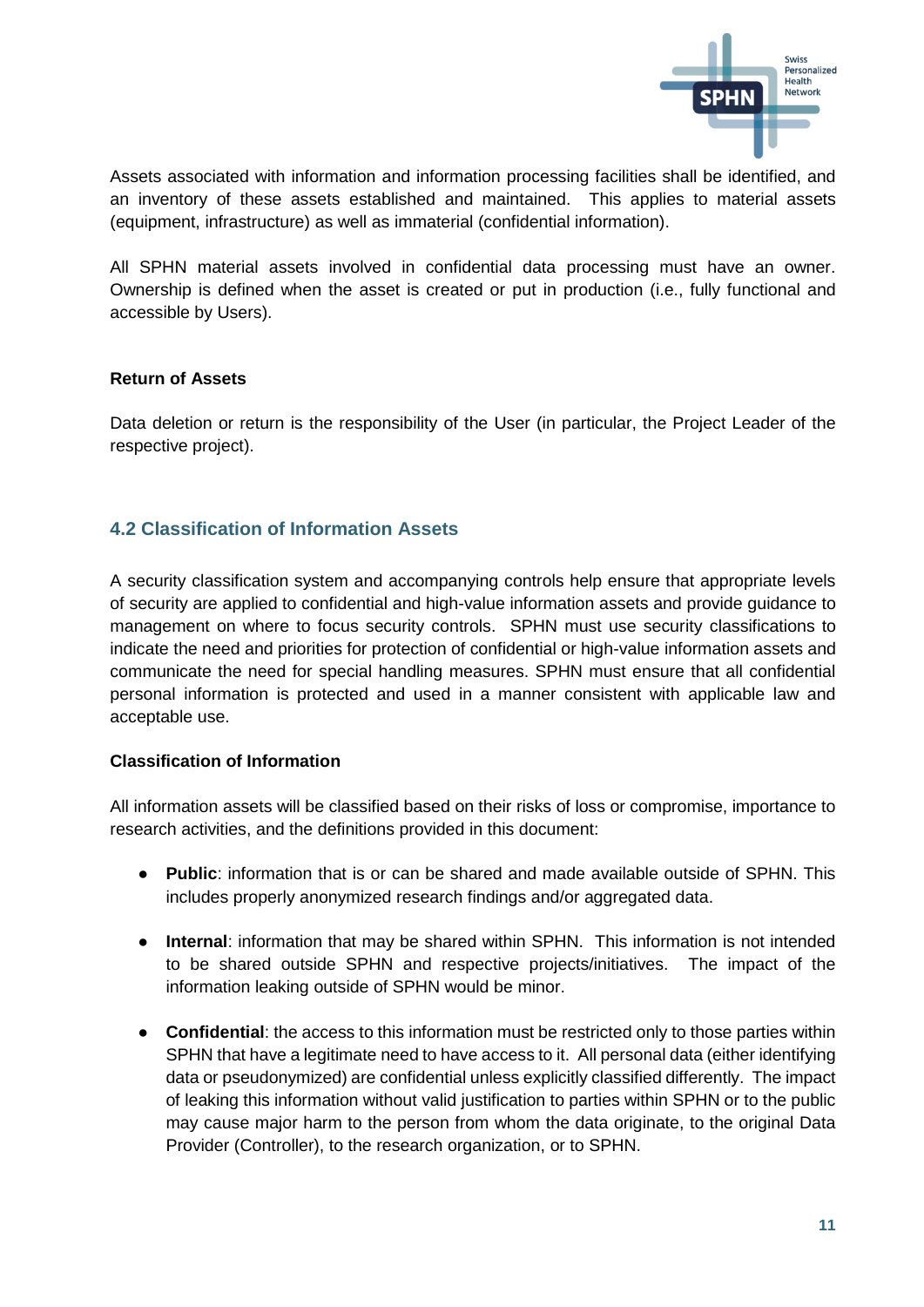

Assets associated with information and information processing facilities shall be identified, and an inventory of these assets established and maintained. This applies to material assets (equipment, infrastructure) as well as immaterial (confidential information).

All SPHN material assets involved in confidential data processing must have an owner. Ownership is defined when the asset is created or put in production (i.e., fully functional and accessible by Users).

#### **Return of Assets**

Data deletion or return is the responsibility of the User (in particular, the Project Leader of the respective project).

#### <span id="page-10-0"></span>**4.2 Classification of Information Assets**

A security classification system and accompanying controls help ensure that appropriate levels of security are applied to confidential and high-value information assets and provide guidance to management on where to focus security controls. SPHN must use security classifications to indicate the need and priorities for protection of confidential or high-value information assets and communicate the need for special handling measures. SPHN must ensure that all confidential personal information is protected and used in a manner consistent with applicable law and acceptable use.

#### **Classification of Information**

All information assets will be classified based on their risks of loss or compromise, importance to research activities, and the definitions provided in this document:

- **Public**: information that is or can be shared and made available outside of SPHN. This includes properly anonymized research findings and/or aggregated data.
- **Internal**: information that may be shared within SPHN. This information is not intended to be shared outside SPHN and respective projects/initiatives. The impact of the information leaking outside of SPHN would be minor.
- **Confidential**: the access to this information must be restricted only to those parties within SPHN that have a legitimate need to have access to it. All personal data (either identifying data or pseudonymized) are confidential unless explicitly classified differently. The impact of leaking this information without valid justification to parties within SPHN or to the public may cause major harm to the person from whom the data originate, to the original Data Provider (Controller), to the research organization, or to SPHN.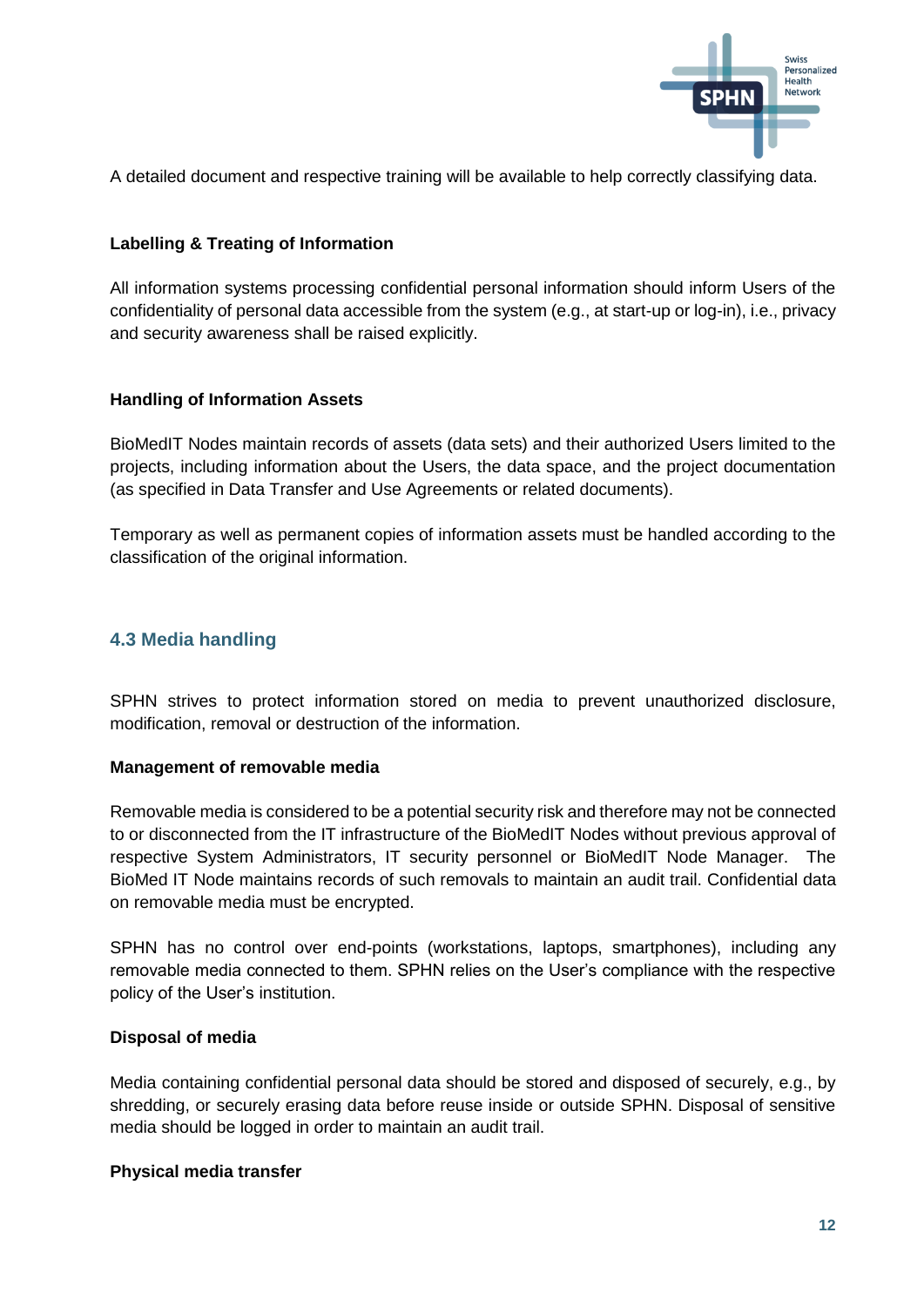

A detailed document and respective training will be available to help correctly classifying data.

#### **Labelling & Treating of Information**

All information systems processing confidential personal information should inform Users of the confidentiality of personal data accessible from the system (e.g., at start-up or log-in), i.e., privacy and security awareness shall be raised explicitly.

#### **Handling of Information Assets**

BioMedIT Nodes maintain records of assets (data sets) and their authorized Users limited to the projects, including information about the Users, the data space, and the project documentation (as specified in Data Transfer and Use Agreements or related documents).

Temporary as well as permanent copies of information assets must be handled according to the classification of the original information.

#### <span id="page-11-0"></span>**4.3 Media handling**

SPHN strives to protect information stored on media to prevent unauthorized disclosure, modification, removal or destruction of the information.

#### **Management of removable media**

Removable media is considered to be a potential security risk and therefore may not be connected to or disconnected from the IT infrastructure of the BioMedIT Nodes without previous approval of respective System Administrators, IT security personnel or BioMedIT Node Manager. The BioMed IT Node maintains records of such removals to maintain an audit trail. Confidential data on removable media must be encrypted.

SPHN has no control over end-points (workstations, laptops, smartphones), including any removable media connected to them. SPHN relies on the User's compliance with the respective policy of the User's institution.

#### **Disposal of media**

Media containing confidential personal data should be stored and disposed of securely, e.g., by shredding, or securely erasing data before reuse inside or outside SPHN. Disposal of sensitive media should be logged in order to maintain an audit trail.

#### **Physical media transfer**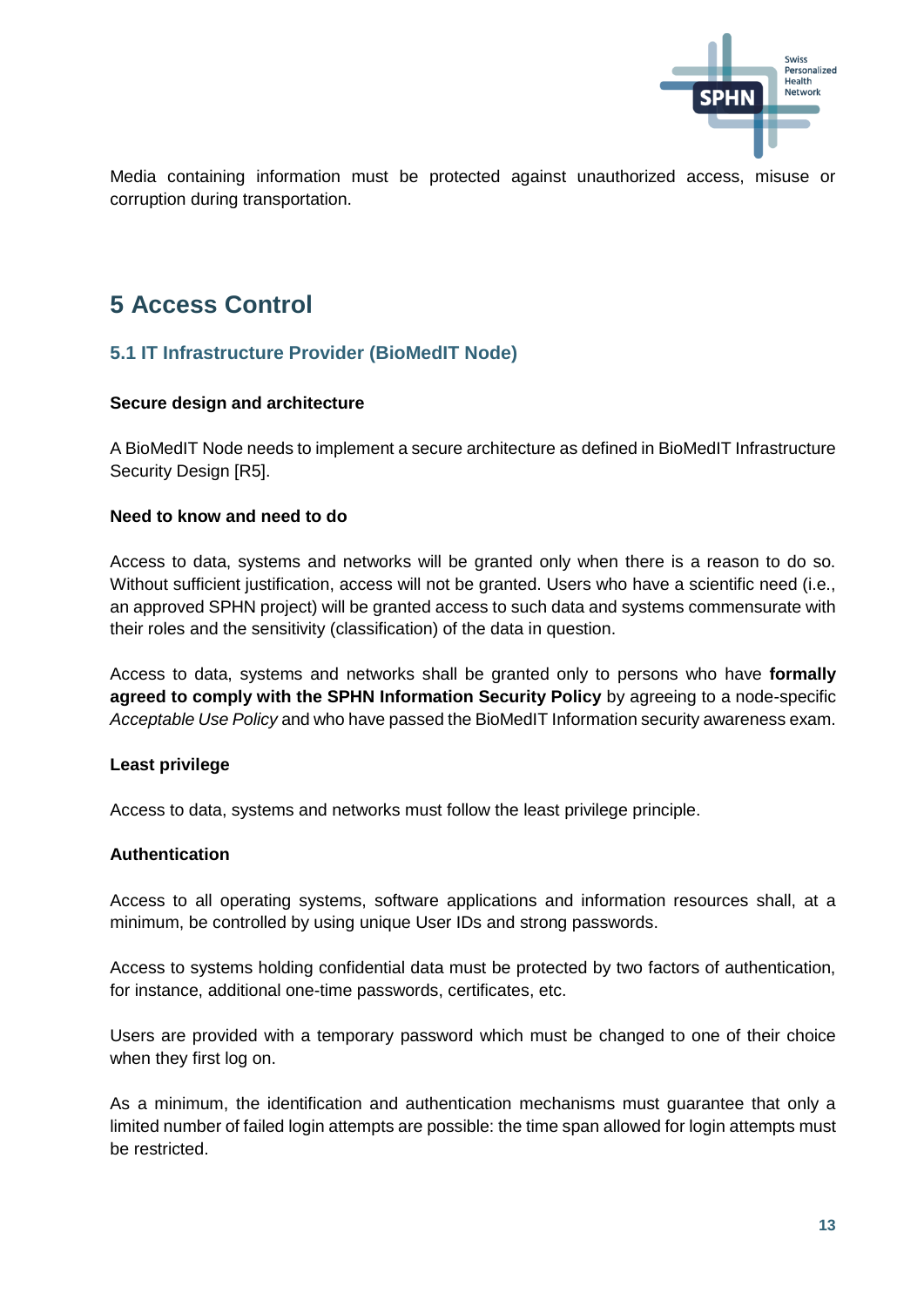

Media containing information must be protected against unauthorized access, misuse or corruption during transportation.

## <span id="page-12-0"></span>**5 Access Control**

#### <span id="page-12-1"></span>**5.1 IT Infrastructure Provider (BioMedIT Node)**

#### **Secure design and architecture**

A BioMedIT Node needs to implement a secure architecture as defined in BioMedIT Infrastructure Security Design [R5].

#### **Need to know and need to do**

Access to data, systems and networks will be granted only when there is a reason to do so. Without sufficient justification, access will not be granted. Users who have a scientific need (i.e., an approved SPHN project) will be granted access to such data and systems commensurate with their roles and the sensitivity (classification) of the data in question.

Access to data, systems and networks shall be granted only to persons who have **formally agreed to comply with the SPHN Information Security Policy** by agreeing to a node-specific *Acceptable Use Policy* and who have passed the BioMedIT Information security awareness exam.

#### **Least privilege**

Access to data, systems and networks must follow the least privilege principle.

#### **Authentication**

Access to all operating systems, software applications and information resources shall, at a minimum, be controlled by using unique User IDs and strong passwords.

Access to systems holding confidential data must be protected by two factors of authentication, for instance, additional one-time passwords, certificates, etc.

Users are provided with a temporary password which must be changed to one of their choice when they first log on.

As a minimum, the identification and authentication mechanisms must guarantee that only a limited number of failed login attempts are possible: the time span allowed for login attempts must be restricted.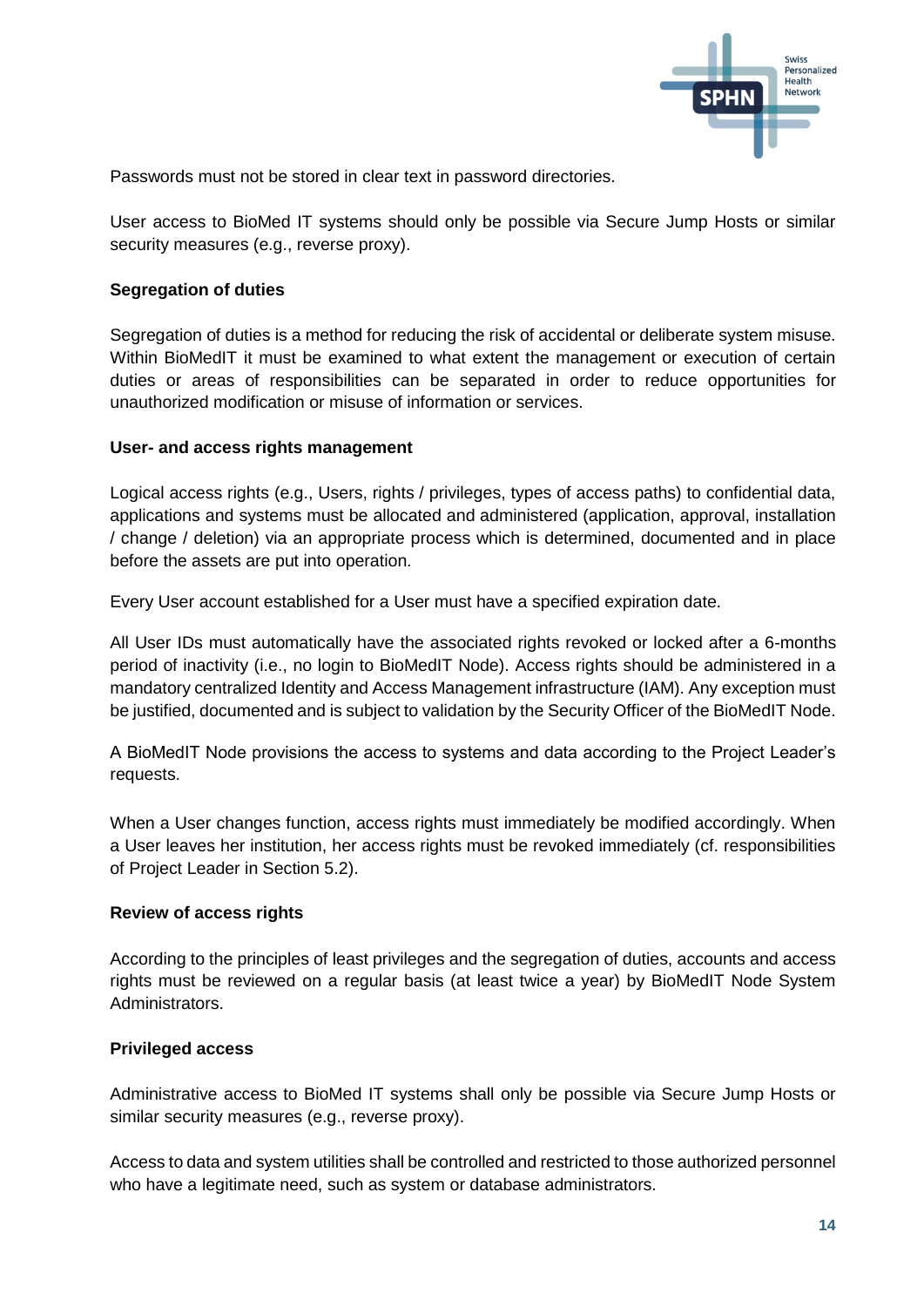

Passwords must not be stored in clear text in password directories.

User access to BioMed IT systems should only be possible via Secure Jump Hosts or similar security measures (e.g., reverse proxy).

#### **Segregation of duties**

Segregation of duties is a method for reducing the risk of accidental or deliberate system misuse. Within BioMedIT it must be examined to what extent the management or execution of certain duties or areas of responsibilities can be separated in order to reduce opportunities for unauthorized modification or misuse of information or services.

#### **User- and access rights management**

Logical access rights (e.g., Users, rights / privileges, types of access paths) to confidential data, applications and systems must be allocated and administered (application, approval, installation / change / deletion) via an appropriate process which is determined, documented and in place before the assets are put into operation.

Every User account established for a User must have a specified expiration date.

All User IDs must automatically have the associated rights revoked or locked after a 6-months period of inactivity (i.e., no login to BioMedIT Node). Access rights should be administered in a mandatory centralized Identity and Access Management infrastructure (IAM). Any exception must be justified, documented and is subject to validation by the Security Officer of the BioMedIT Node.

A BioMedIT Node provisions the access to systems and data according to the Project Leader's requests.

When a User changes function, access rights must immediately be modified accordingly. When a User leaves her institution, her access rights must be revoked immediately (cf. responsibilities of Project Leader in Section 5.2).

#### **Review of access rights**

According to the principles of least privileges and the segregation of duties, accounts and access rights must be reviewed on a regular basis (at least twice a year) by BioMedIT Node System Administrators.

#### **Privileged access**

Administrative access to BioMed IT systems shall only be possible via Secure Jump Hosts or similar security measures (e.g., reverse proxy).

Access to data and system utilities shall be controlled and restricted to those authorized personnel who have a legitimate need, such as system or database administrators.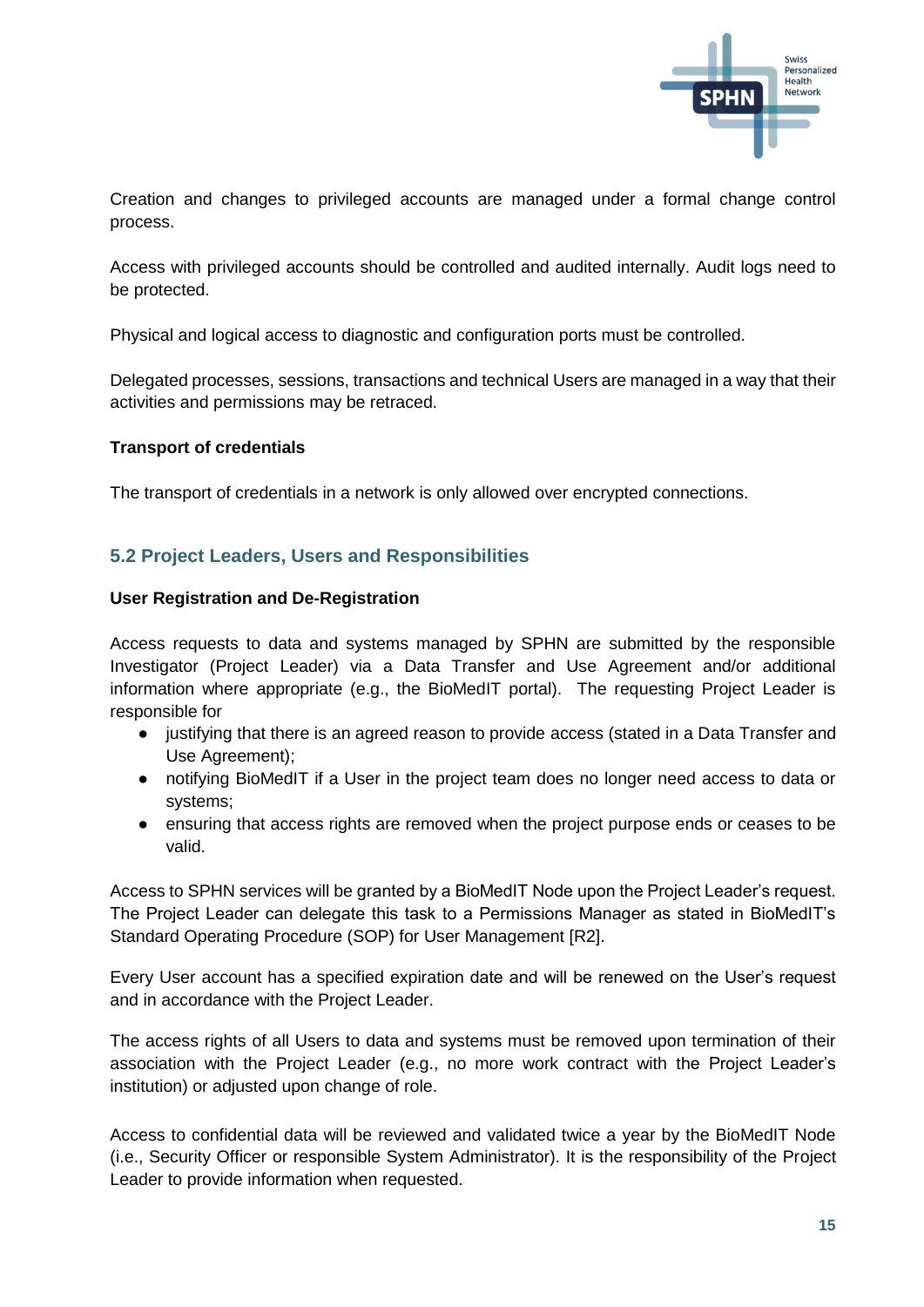

Creation and changes to privileged accounts are managed under a formal change control process.

Access with privileged accounts should be controlled and audited internally. Audit logs need to be protected.

Physical and logical access to diagnostic and configuration ports must be controlled.

Delegated processes, sessions, transactions and technical Users are managed in a way that their activities and permissions may be retraced.

#### **Transport of credentials**

The transport of credentials in a network is only allowed over encrypted connections.

#### <span id="page-14-0"></span>**5.2 Project Leaders, Users and Responsibilities**

#### **User Registration and De-Registration**

Access requests to data and systems managed by SPHN are submitted by the responsible Investigator (Project Leader) via a Data Transfer and Use Agreement and/or additional information where appropriate (e.g., the BioMedIT portal). The requesting Project Leader is responsible for

- justifying that there is an agreed reason to provide access (stated in a Data Transfer and Use Agreement);
- notifying BioMedIT if a User in the project team does no longer need access to data or systems;
- ensuring that access rights are removed when the project purpose ends or ceases to be valid.

Access to SPHN services will be granted by a BioMedIT Node upon the Project Leader's request. The Project Leader can delegate this task to a Permissions Manager as stated in BioMedIT's Standard Operating Procedure (SOP) for User Management [R2].

Every User account has a specified expiration date and will be renewed on the User's request and in accordance with the Project Leader.

The access rights of all Users to data and systems must be removed upon termination of their association with the Project Leader (e.g., no more work contract with the Project Leader's institution) or adjusted upon change of role.

Access to confidential data will be reviewed and validated twice a year by the BioMedIT Node (i.e., Security Officer or responsible System Administrator). It is the responsibility of the Project Leader to provide information when requested.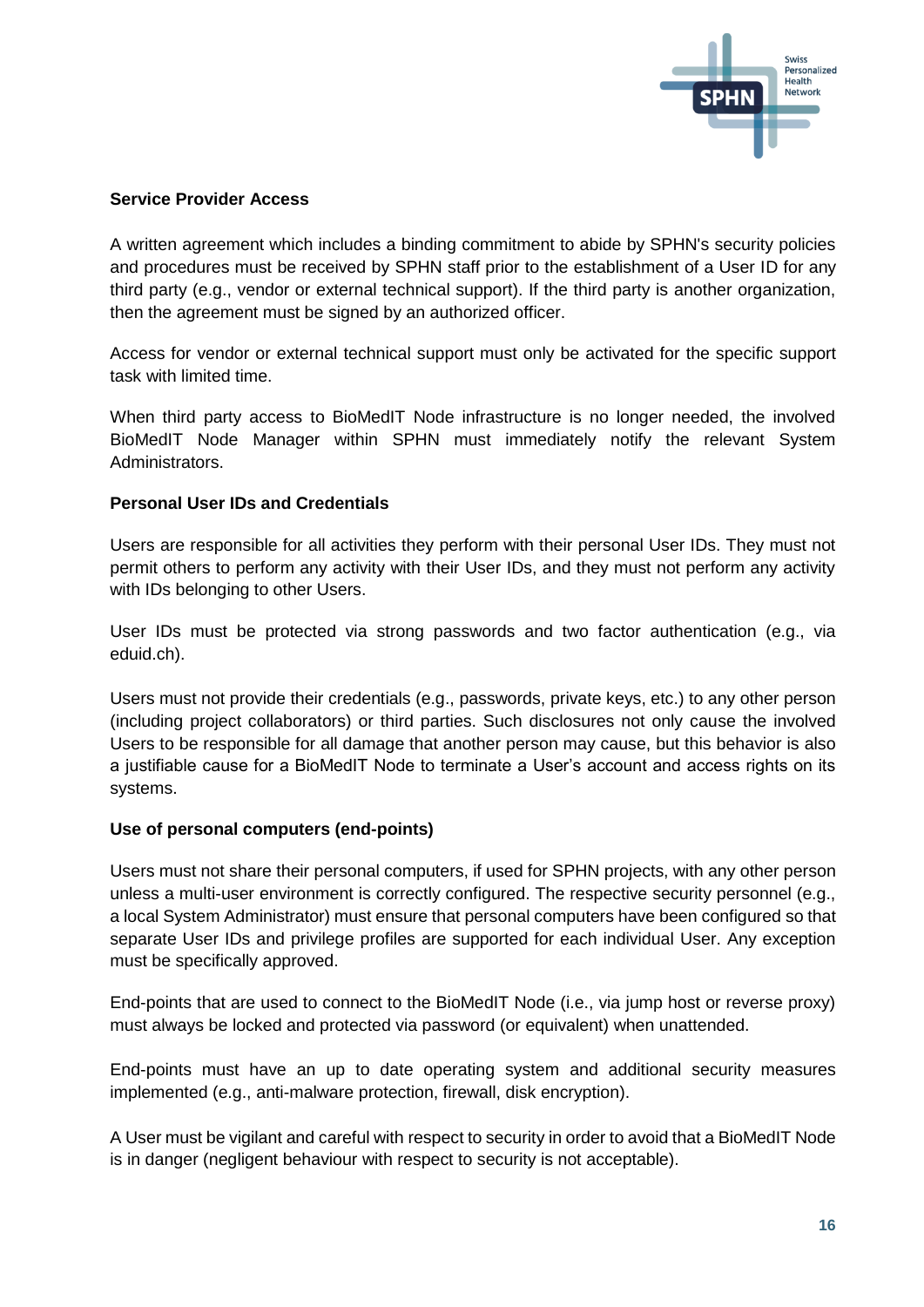

#### **Service Provider Access**

A written agreement which includes a binding commitment to abide by SPHN's security policies and procedures must be received by SPHN staff prior to the establishment of a User ID for any third party (e.g., vendor or external technical support). If the third party is another organization, then the agreement must be signed by an authorized officer.

Access for vendor or external technical support must only be activated for the specific support task with limited time.

When third party access to BioMedIT Node infrastructure is no longer needed, the involved BioMedIT Node Manager within SPHN must immediately notify the relevant System Administrators.

#### **Personal User IDs and Credentials**

Users are responsible for all activities they perform with their personal User IDs. They must not permit others to perform any activity with their User IDs, and they must not perform any activity with IDs belonging to other Users.

User IDs must be protected via strong passwords and two factor authentication (e.g., via eduid.ch).

Users must not provide their credentials (e.g., passwords, private keys, etc.) to any other person (including project collaborators) or third parties. Such disclosures not only cause the involved Users to be responsible for all damage that another person may cause, but this behavior is also a justifiable cause for a BioMedIT Node to terminate a User's account and access rights on its systems.

#### **Use of personal computers (end-points)**

Users must not share their personal computers, if used for SPHN projects, with any other person unless a multi-user environment is correctly configured. The respective security personnel (e.g., a local System Administrator) must ensure that personal computers have been configured so that separate User IDs and privilege profiles are supported for each individual User. Any exception must be specifically approved.

End-points that are used to connect to the BioMedIT Node (i.e., via jump host or reverse proxy) must always be locked and protected via password (or equivalent) when unattended.

End-points must have an up to date operating system and additional security measures implemented (e.g., anti-malware protection, firewall, disk encryption).

A User must be vigilant and careful with respect to security in order to avoid that a BioMedIT Node is in danger (negligent behaviour with respect to security is not acceptable).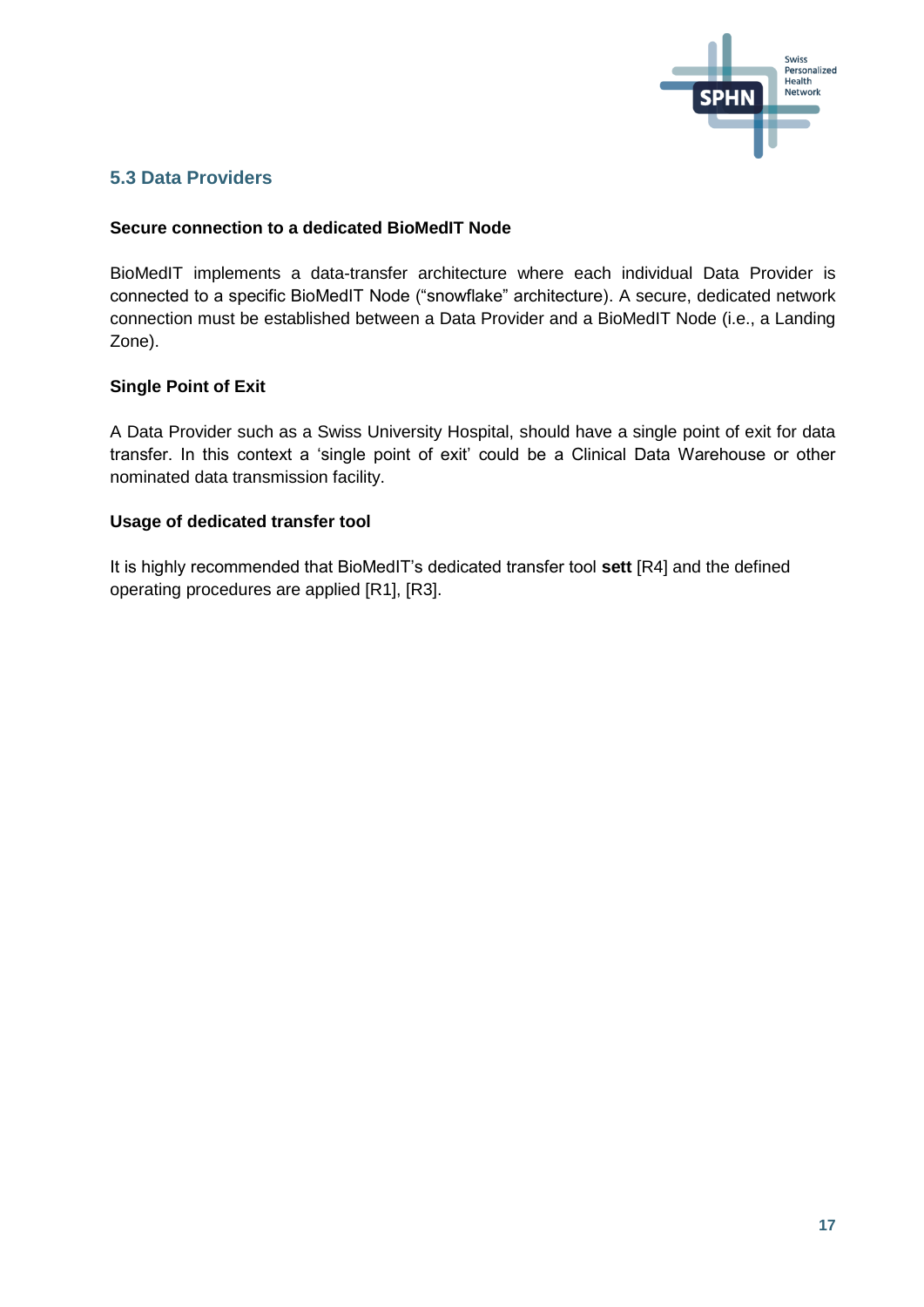

#### <span id="page-16-0"></span>**5.3 Data Providers**

#### **Secure connection to a dedicated BioMedIT Node**

BioMedIT implements a data-transfer architecture where each individual Data Provider is connected to a specific BioMedIT Node ("snowflake" architecture). A secure, dedicated network connection must be established between a Data Provider and a BioMedIT Node (i.e., a Landing Zone).

#### **Single Point of Exit**

A Data Provider such as a Swiss University Hospital, should have a single point of exit for data transfer. In this context a 'single point of exit' could be a Clinical Data Warehouse or other nominated data transmission facility.

#### **Usage of dedicated transfer tool**

<span id="page-16-1"></span>It is highly recommended that BioMedIT's dedicated transfer tool **sett** [R4] and the defined operating procedures are applied [R1], [R3].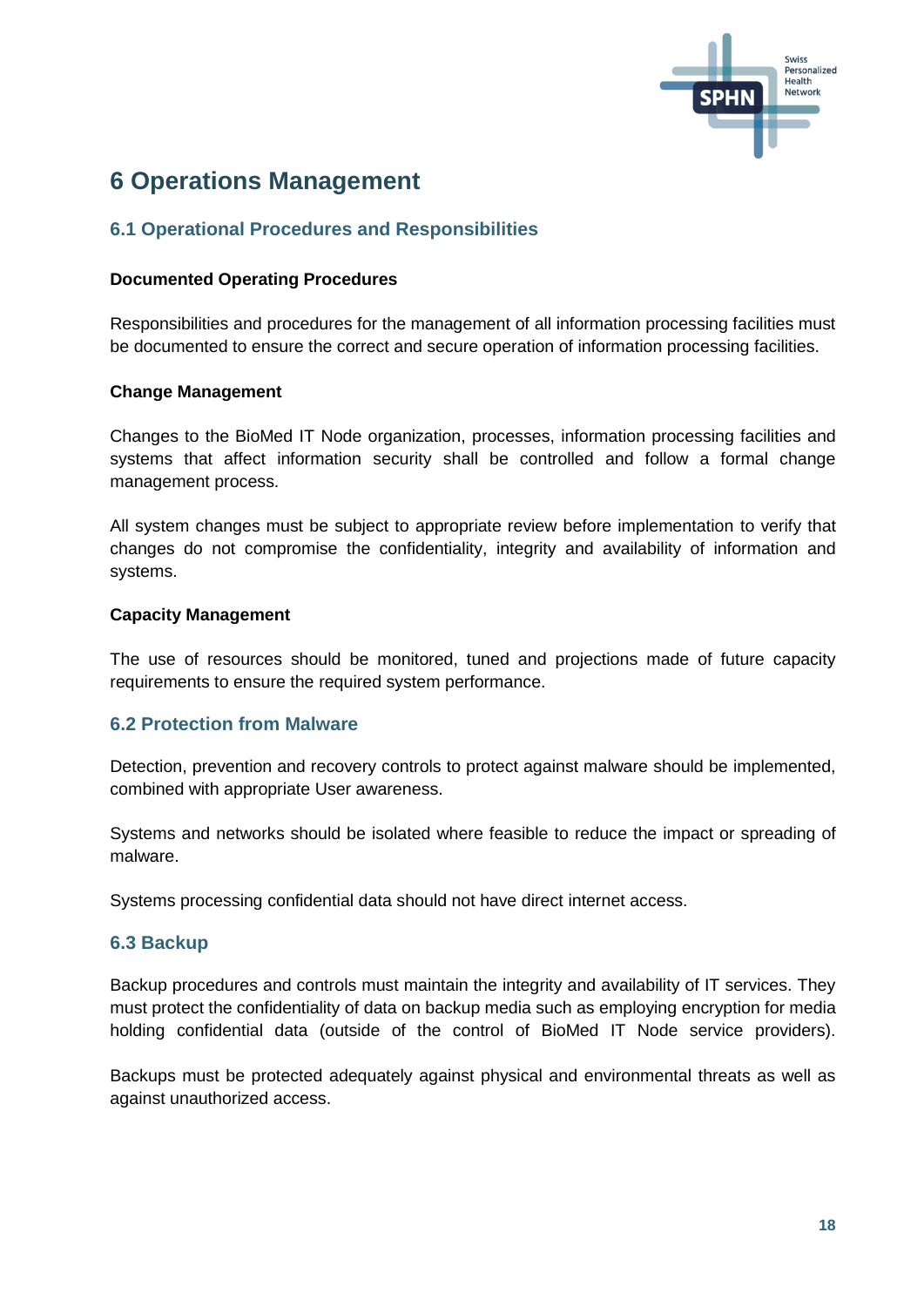

## **6 Operations Management**

#### <span id="page-17-0"></span>**6.1 Operational Procedures and Responsibilities**

#### **Documented Operating Procedures**

Responsibilities and procedures for the management of all information processing facilities must be documented to ensure the correct and secure operation of information processing facilities.

#### **Change Management**

Changes to the BioMed IT Node organization, processes, information processing facilities and systems that affect information security shall be controlled and follow a formal change management process.

All system changes must be subject to appropriate review before implementation to verify that changes do not compromise the confidentiality, integrity and availability of information and systems.

#### **Capacity Management**

The use of resources should be monitored, tuned and projections made of future capacity requirements to ensure the required system performance.

#### <span id="page-17-1"></span>**6.2 Protection from Malware**

Detection, prevention and recovery controls to protect against malware should be implemented, combined with appropriate User awareness.

Systems and networks should be isolated where feasible to reduce the impact or spreading of malware.

Systems processing confidential data should not have direct internet access.

#### <span id="page-17-2"></span>**6.3 Backup**

Backup procedures and controls must maintain the integrity and availability of IT services. They must protect the confidentiality of data on backup media such as employing encryption for media holding confidential data (outside of the control of BioMed IT Node service providers).

Backups must be protected adequately against physical and environmental threats as well as against unauthorized access.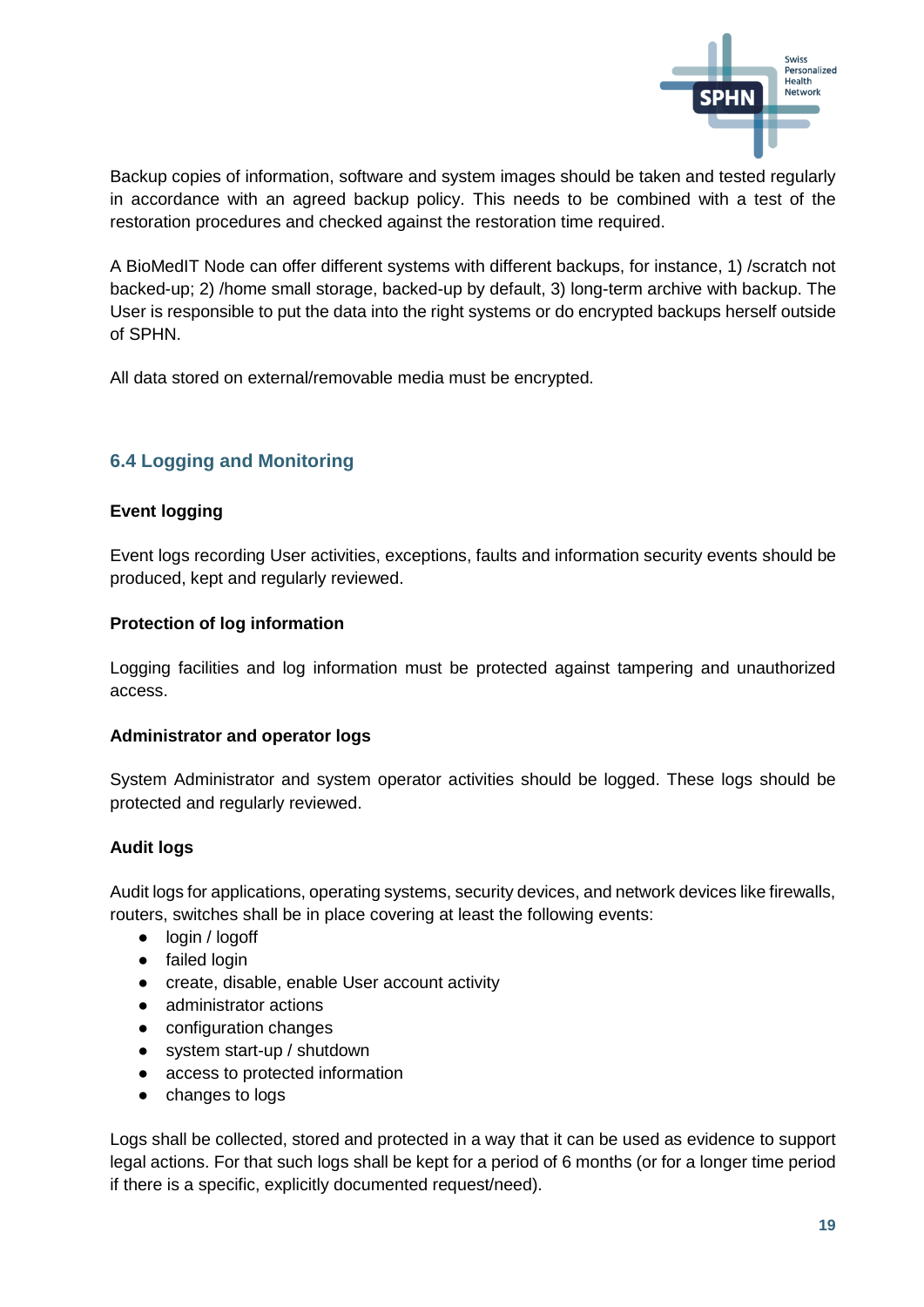

Backup copies of information, software and system images should be taken and tested regularly in accordance with an agreed backup policy. This needs to be combined with a test of the restoration procedures and checked against the restoration time required.

A BioMedIT Node can offer different systems with different backups, for instance, 1) /scratch not backed-up; 2) /home small storage, backed-up by default, 3) long-term archive with backup. The User is responsible to put the data into the right systems or do encrypted backups herself outside of SPHN.

<span id="page-18-0"></span>All data stored on external/removable media must be encrypted.

#### **6.4 Logging and Monitoring**

#### **Event logging**

Event logs recording User activities, exceptions, faults and information security events should be produced, kept and regularly reviewed.

#### **Protection of log information**

Logging facilities and log information must be protected against tampering and unauthorized access.

#### **Administrator and operator logs**

System Administrator and system operator activities should be logged. These logs should be protected and regularly reviewed.

#### **Audit logs**

Audit logs for applications, operating systems, security devices, and network devices like firewalls, routers, switches shall be in place covering at least the following events:

- login / logoff
- failed login
- create, disable, enable User account activity
- administrator actions
- configuration changes
- system start-up / shutdown
- access to protected information
- changes to logs

Logs shall be collected, stored and protected in a way that it can be used as evidence to support legal actions. For that such logs shall be kept for a period of 6 months (or for a longer time period if there is a specific, explicitly documented request/need).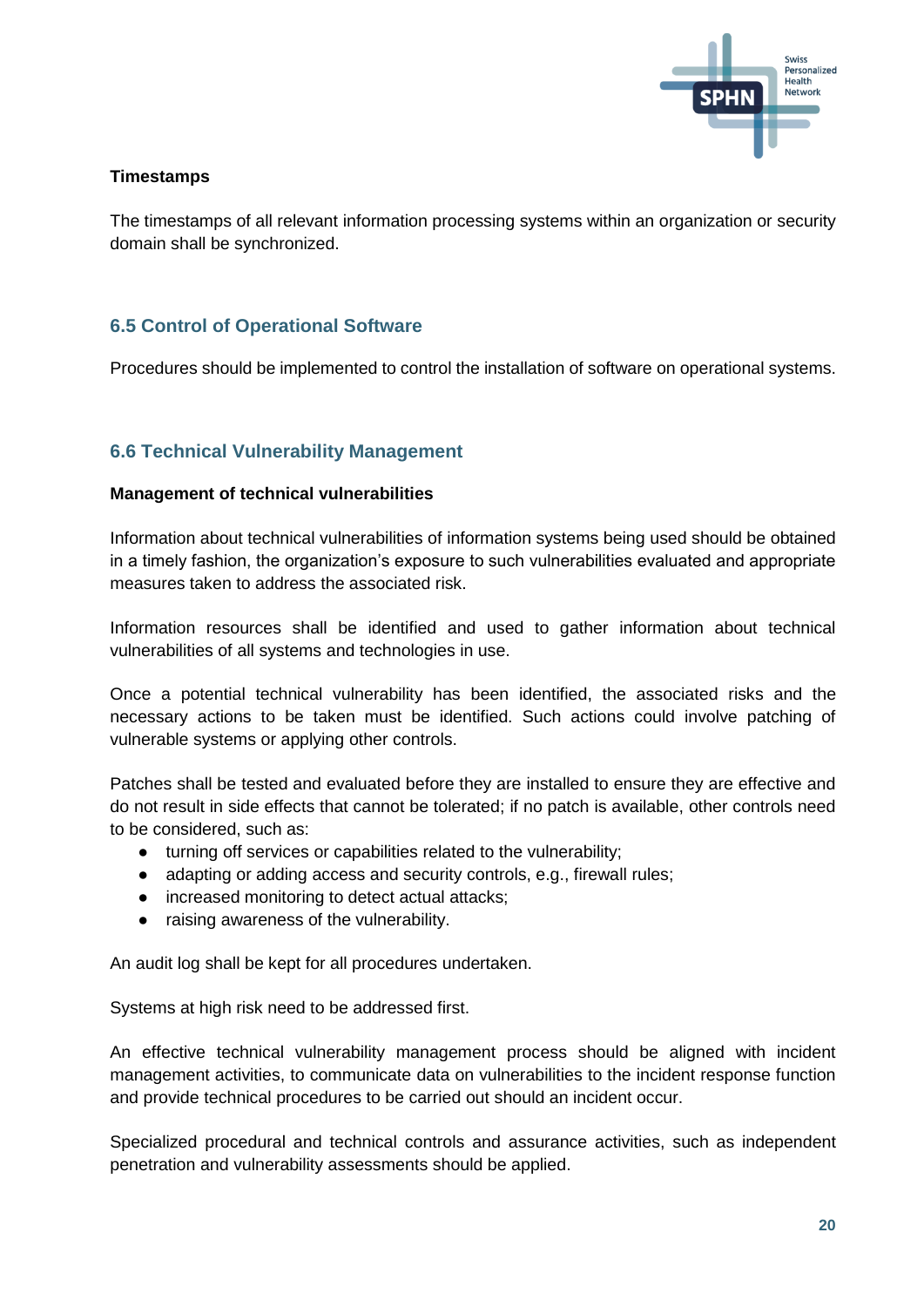

#### **Timestamps**

The timestamps of all relevant information processing systems within an organization or security domain shall be synchronized.

#### <span id="page-19-0"></span>**6.5 Control of Operational Software**

Procedures should be implemented to control the installation of software on operational systems.

#### <span id="page-19-1"></span>**6.6 Technical Vulnerability Management**

#### **Management of technical vulnerabilities**

Information about technical vulnerabilities of information systems being used should be obtained in a timely fashion, the organization's exposure to such vulnerabilities evaluated and appropriate measures taken to address the associated risk.

Information resources shall be identified and used to gather information about technical vulnerabilities of all systems and technologies in use.

Once a potential technical vulnerability has been identified, the associated risks and the necessary actions to be taken must be identified. Such actions could involve patching of vulnerable systems or applying other controls.

Patches shall be tested and evaluated before they are installed to ensure they are effective and do not result in side effects that cannot be tolerated; if no patch is available, other controls need to be considered, such as:

- turning off services or capabilities related to the vulnerability;
- adapting or adding access and security controls, e.g., firewall rules;
- increased monitoring to detect actual attacks;
- raising awareness of the vulnerability.

An audit log shall be kept for all procedures undertaken.

Systems at high risk need to be addressed first.

An effective technical vulnerability management process should be aligned with incident management activities, to communicate data on vulnerabilities to the incident response function and provide technical procedures to be carried out should an incident occur.

Specialized procedural and technical controls and assurance activities, such as independent penetration and vulnerability assessments should be applied.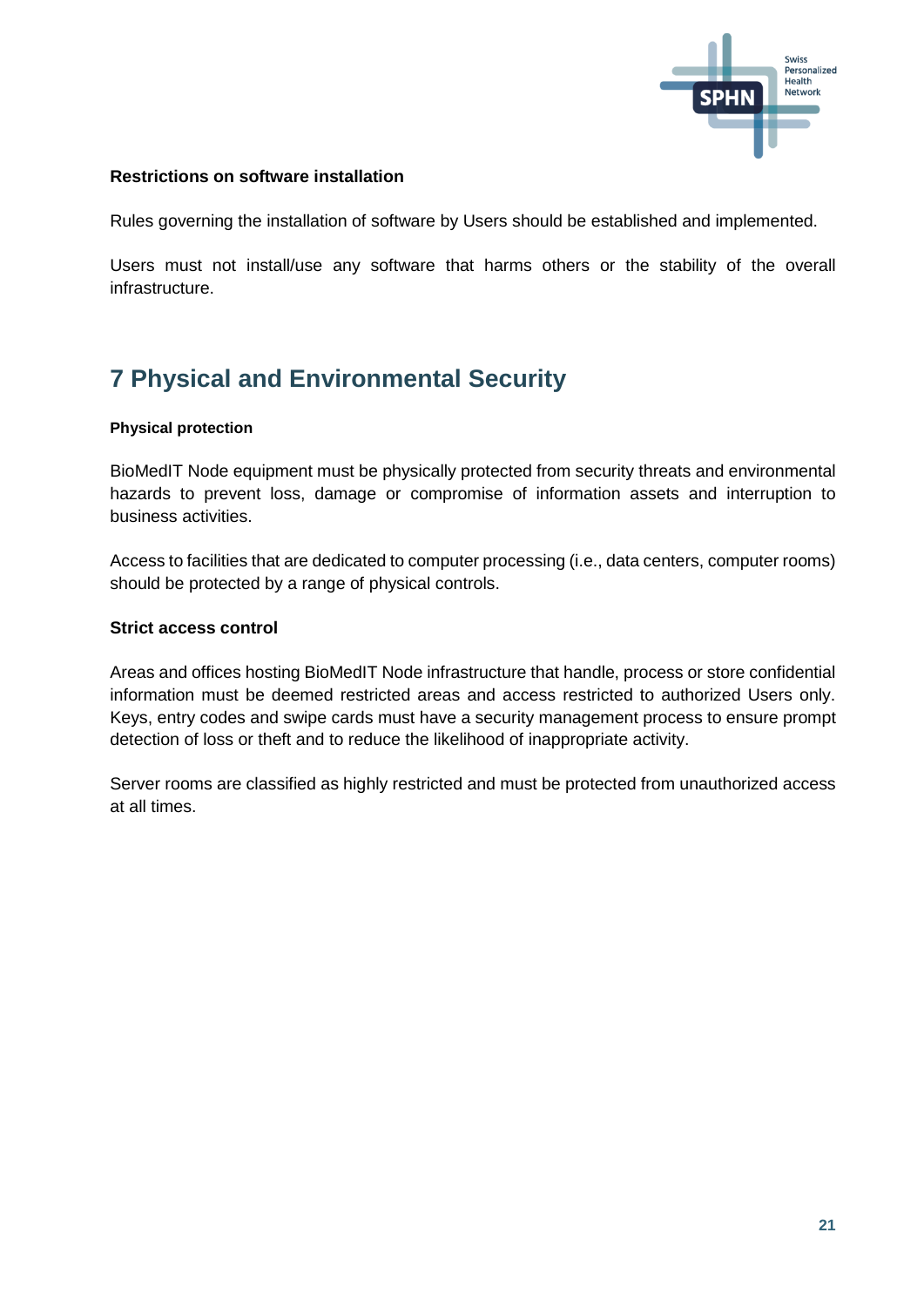

#### **Restrictions on software installation**

Rules governing the installation of software by Users should be established and implemented.

Users must not install/use any software that harms others or the stability of the overall infrastructure.

## <span id="page-20-0"></span>**7 Physical and Environmental Security**

#### **Physical protection**

BioMedIT Node equipment must be physically protected from security threats and environmental hazards to prevent loss, damage or compromise of information assets and interruption to business activities.

Access to facilities that are dedicated to computer processing (i.e., data centers, computer rooms) should be protected by a range of physical controls.

#### **Strict access control**

Areas and offices hosting BioMedIT Node infrastructure that handle, process or store confidential information must be deemed restricted areas and access restricted to authorized Users only. Keys, entry codes and swipe cards must have a security management process to ensure prompt detection of loss or theft and to reduce the likelihood of inappropriate activity.

<span id="page-20-1"></span>Server rooms are classified as highly restricted and must be protected from unauthorized access at all times.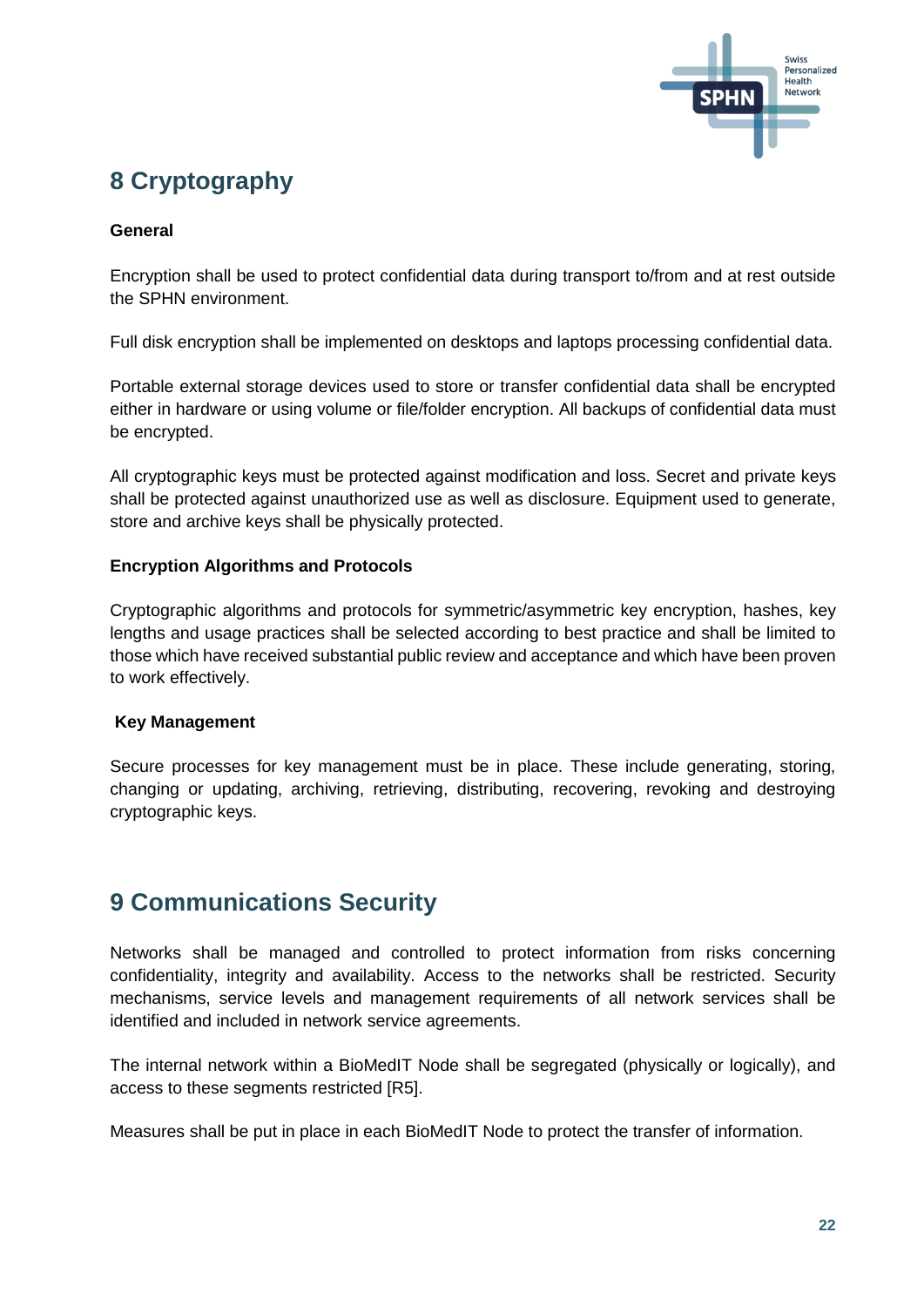

## **8 Cryptography**

#### **General**

Encryption shall be used to protect confidential data during transport to/from and at rest outside the SPHN environment.

Full disk encryption shall be implemented on desktops and laptops processing confidential data.

Portable external storage devices used to store or transfer confidential data shall be encrypted either in hardware or using volume or file/folder encryption. All backups of confidential data must be encrypted.

All cryptographic keys must be protected against modification and loss. Secret and private keys shall be protected against unauthorized use as well as disclosure. Equipment used to generate, store and archive keys shall be physically protected.

#### **Encryption Algorithms and Protocols**

Cryptographic algorithms and protocols for symmetric/asymmetric key encryption, hashes, key lengths and usage practices shall be selected according to best practice and shall be limited to those which have received substantial public review and acceptance and which have been proven to work effectively.

#### **Key Management**

Secure processes for key management must be in place. These include generating, storing, changing or updating, archiving, retrieving, distributing, recovering, revoking and destroying cryptographic keys.

### <span id="page-21-0"></span>**9 Communications Security**

Networks shall be managed and controlled to protect information from risks concerning confidentiality, integrity and availability. Access to the networks shall be restricted. Security mechanisms, service levels and management requirements of all network services shall be identified and included in network service agreements.

The internal network within a BioMedIT Node shall be segregated (physically or logically), and access to these segments restricted [R5].

Measures shall be put in place in each BioMedIT Node to protect the transfer of information.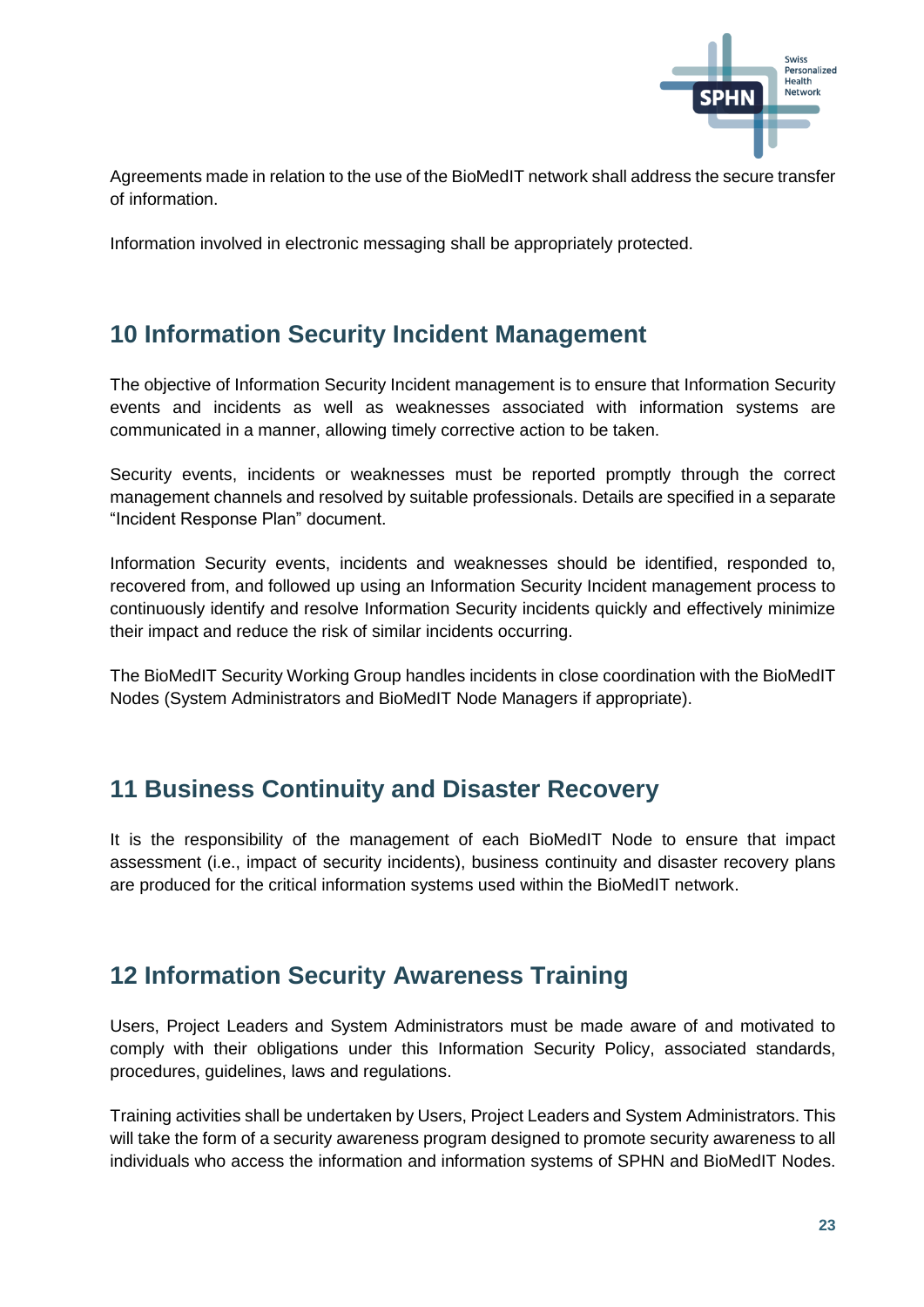

Agreements made in relation to the use of the BioMedIT network shall address the secure transfer of information.

Information involved in electronic messaging shall be appropriately protected.

## <span id="page-22-0"></span>**10 Information Security Incident Management**

The objective of Information Security Incident management is to ensure that Information Security events and incidents as well as weaknesses associated with information systems are communicated in a manner, allowing timely corrective action to be taken.

Security events, incidents or weaknesses must be reported promptly through the correct management channels and resolved by suitable professionals. Details are specified in a separate "Incident Response Plan" document.

Information Security events, incidents and weaknesses should be identified, responded to, recovered from, and followed up using an Information Security Incident management process to continuously identify and resolve Information Security incidents quickly and effectively minimize their impact and reduce the risk of similar incidents occurring.

The BioMedIT Security Working Group handles incidents in close coordination with the BioMedIT Nodes (System Administrators and BioMedIT Node Managers if appropriate).

### <span id="page-22-1"></span>**11 Business Continuity and Disaster Recovery**

It is the responsibility of the management of each BioMedIT Node to ensure that impact assessment (i.e., impact of security incidents), business continuity and disaster recovery plans are produced for the critical information systems used within the BioMedIT network.

## <span id="page-22-2"></span>**12 Information Security Awareness Training**

Users, Project Leaders and System Administrators must be made aware of and motivated to comply with their obligations under this Information Security Policy, associated standards, procedures, guidelines, laws and regulations.

Training activities shall be undertaken by Users, Project Leaders and System Administrators. This will take the form of a security awareness program designed to promote security awareness to all individuals who access the information and information systems of SPHN and BioMedIT Nodes.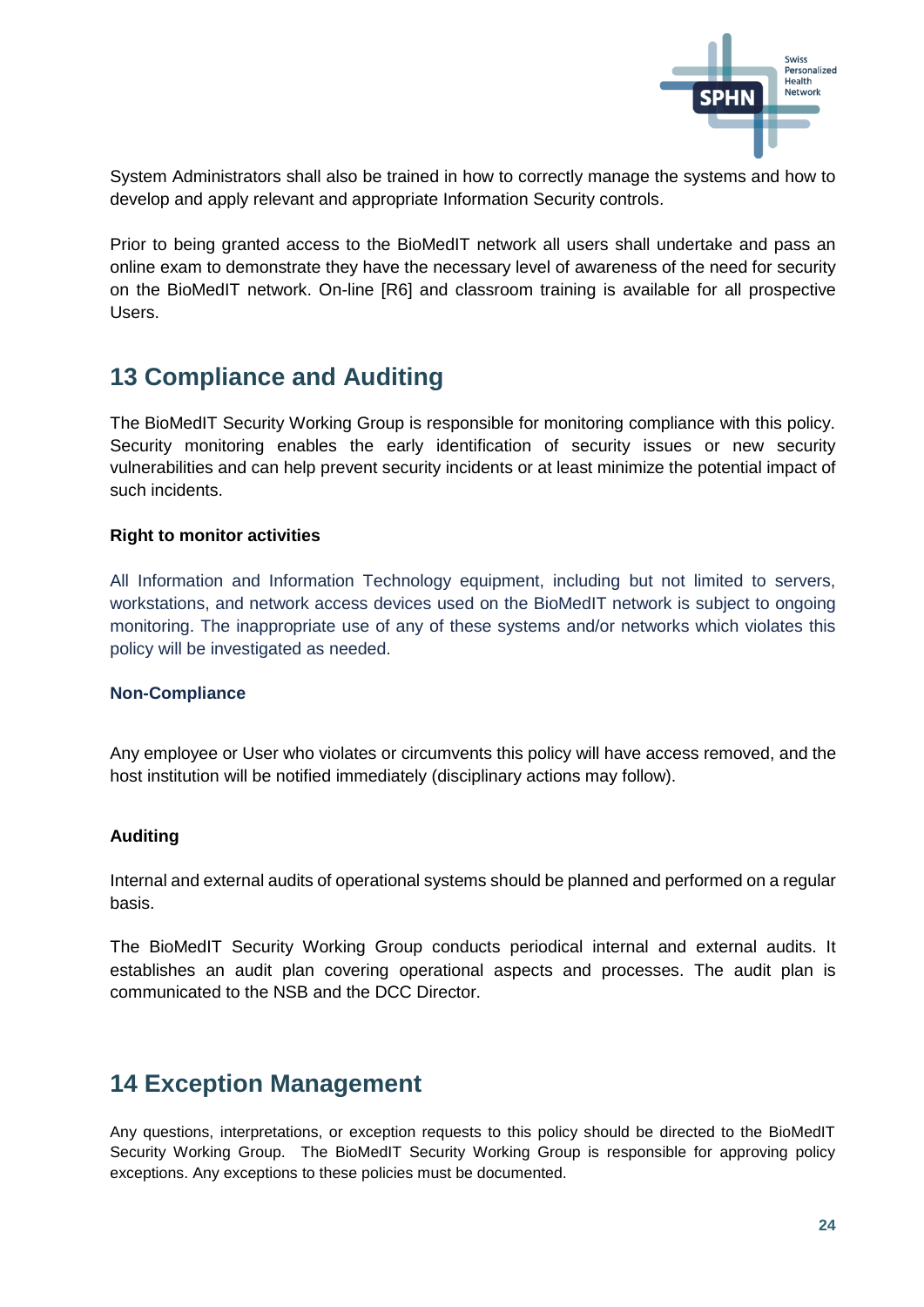

System Administrators shall also be trained in how to correctly manage the systems and how to develop and apply relevant and appropriate Information Security controls.

Prior to being granted access to the BioMedIT network all users shall undertake and pass an online exam to demonstrate they have the necessary level of awareness of the need for security on the BioMedIT network. On-line [R6] and classroom training is available for all prospective Users.

## <span id="page-23-0"></span>**13 Compliance and Auditing**

The BioMedIT Security Working Group is responsible for monitoring compliance with this policy. Security monitoring enables the early identification of security issues or new security vulnerabilities and can help prevent security incidents or at least minimize the potential impact of such incidents.

#### **Right to monitor activities**

All Information and Information Technology equipment, including but not limited to servers, workstations, and network access devices used on the BioMedIT network is subject to ongoing monitoring. The inappropriate use of any of these systems and/or networks which violates this policy will be investigated as needed.

#### **Non-Compliance**

Any employee or User who violates or circumvents this policy will have access removed, and the host institution will be notified immediately (disciplinary actions may follow).

#### **Auditing**

Internal and external audits of operational systems should be planned and performed on a regular basis.

The BioMedIT Security Working Group conducts periodical internal and external audits. It establishes an audit plan covering operational aspects and processes. The audit plan is communicated to the NSB and the DCC Director.

## <span id="page-23-1"></span>**14 Exception Management**

Any questions, interpretations, or exception requests to this policy should be directed to the BioMedIT Security Working Group. The BioMedIT Security Working Group is responsible for approving policy exceptions. Any exceptions to these policies must be documented.